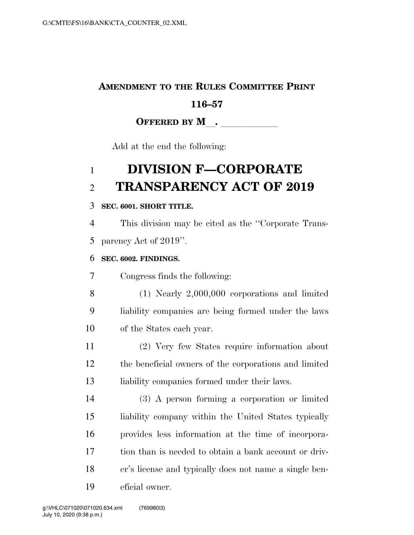## **AMENDMENT TO THE RULES COMMITTEE PRINT**

## **116–57**

## OFFERED BY M<sub>\_\_</sub>. \_\_\_\_\_\_\_\_\_\_\_

Add at the end the following:

# **DIVISION F—CORPORATE TRANSPARENCY ACT OF 2019**

### **SEC. 6001. SHORT TITLE.**

 This division may be cited as the ''Corporate Trans-5 parency Act of 2019".

### **SEC. 6002. FINDINGS.**

Congress finds the following:

- (1) Nearly 2,000,000 corporations and limited liability companies are being formed under the laws of the States each year.
- (2) Very few States require information about the beneficial owners of the corporations and limited 13 liability companies formed under their laws.

 (3) A person forming a corporation or limited liability company within the United States typically provides less information at the time of incorpora- tion than is needed to obtain a bank account or driv- er's license and typically does not name a single ben-eficial owner.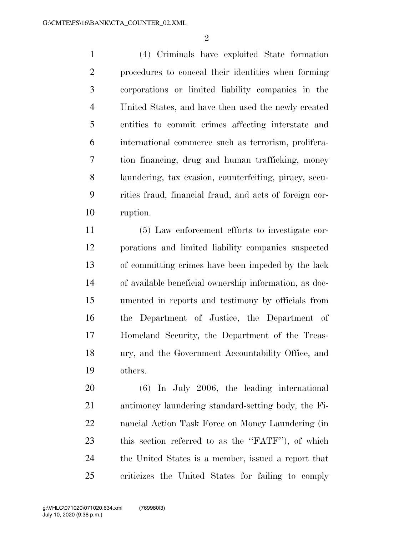(4) Criminals have exploited State formation procedures to conceal their identities when forming corporations or limited liability companies in the United States, and have then used the newly created entities to commit crimes affecting interstate and international commerce such as terrorism, prolifera- tion financing, drug and human trafficking, money laundering, tax evasion, counterfeiting, piracy, secu- rities fraud, financial fraud, and acts of foreign cor-ruption.

 (5) Law enforcement efforts to investigate cor- porations and limited liability companies suspected of committing crimes have been impeded by the lack of available beneficial ownership information, as doc- umented in reports and testimony by officials from the Department of Justice, the Department of Homeland Security, the Department of the Treas- ury, and the Government Accountability Office, and others.

 (6) In July 2006, the leading international antimoney laundering standard-setting body, the Fi- nancial Action Task Force on Money Laundering (in this section referred to as the ''FATF''), of which the United States is a member, issued a report that criticizes the United States for failing to comply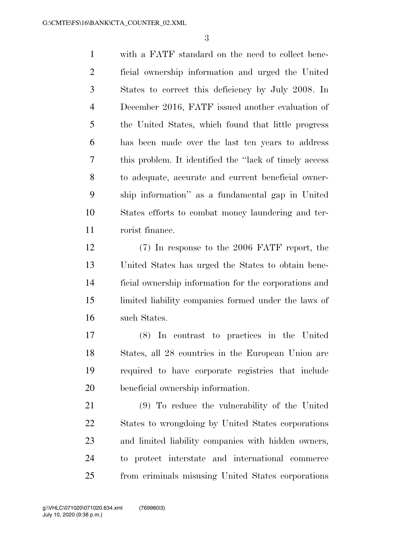with a FATF standard on the need to collect bene- ficial ownership information and urged the United States to correct this deficiency by July 2008. In December 2016, FATF issued another evaluation of the United States, which found that little progress has been made over the last ten years to address this problem. It identified the ''lack of timely access to adequate, accurate and current beneficial owner- ship information'' as a fundamental gap in United States efforts to combat money laundering and ter-rorist finance.

 (7) In response to the 2006 FATF report, the United States has urged the States to obtain bene- ficial ownership information for the corporations and limited liability companies formed under the laws of such States.

 (8) In contrast to practices in the United States, all 28 countries in the European Union are required to have corporate registries that include beneficial ownership information.

 (9) To reduce the vulnerability of the United States to wrongdoing by United States corporations and limited liability companies with hidden owners, to protect interstate and international commerce from criminals misusing United States corporations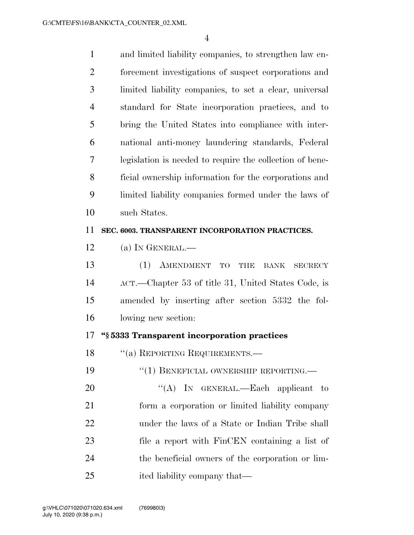| $\mathbf{1}$   | and limited liability companies, to strengthen law en-   |
|----------------|----------------------------------------------------------|
| $\overline{2}$ | forcement investigations of suspect corporations and     |
| 3              | limited liability companies, to set a clear, universal   |
| $\overline{4}$ | standard for State incorporation practices, and to       |
| 5              | bring the United States into compliance with inter-      |
| 6              | national anti-money laundering standards, Federal        |
| 7              | legislation is needed to require the collection of bene- |
| 8              | ficial ownership information for the corporations and    |
| 9              | limited liability companies formed under the laws of     |
| 10             | such States.                                             |
| 11             | SEC. 6003. TRANSPARENT INCORPORATION PRACTICES.          |
| 12             | (a) IN GENERAL.—                                         |
| 13             | (1) AMENDMENT TO<br><b>BANK</b><br>THE<br><b>SECRECY</b> |
| 14             | ACT.—Chapter 53 of title 31, United States Code, is      |
| 15             | amended by inserting after section 5332 the fol-         |
| 16             | lowing new section:                                      |
| 17             | "§5333 Transparent incorporation practices               |
| 18             | $``(a)$ REPORTING REQUIREMENTS.—                         |
| 19             | $``(1)$ BENEFICIAL OWNERSHIP REPORTING.                  |
| 20             | "(A) IN GENERAL.—Each applicant to                       |
| 21             | form a corporation or limited liability company          |
| 22             | under the laws of a State or Indian Tribe shall          |
| 23             | file a report with FinCEN containing a list of           |
| 24             | the beneficial owners of the corporation or lim-         |
| 25             | ited liability company that—                             |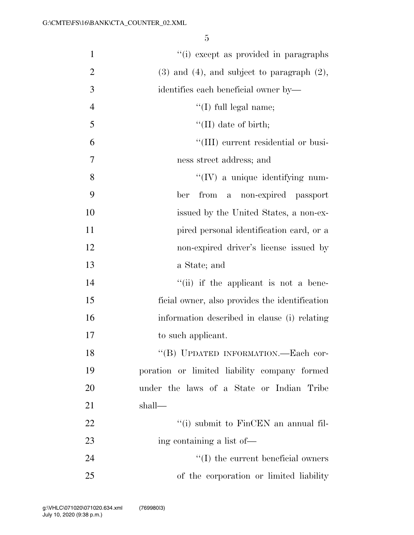| $\mathbf{1}$   | "(i) except as provided in paragraphs              |
|----------------|----------------------------------------------------|
| $\overline{2}$ | $(3)$ and $(4)$ , and subject to paragraph $(2)$ , |
| 3              | identifies each beneficial owner by—               |
| $\overline{4}$ | $\lq\lq$ (I) full legal name;                      |
| 5              | $\lq\lq$ (II) date of birth;                       |
| 6              | "(III) current residential or busi-                |
| 7              | ness street address; and                           |
| 8              | $\lq\lq$ (IV) a unique identifying num-            |
| 9              | from a non-expired passport<br>ber                 |
| 10             | issued by the United States, a non-ex-             |
| 11             | pired personal identification card, or a           |
| 12             | non-expired driver's license issued by             |
| 13             | a State; and                                       |
| 14             | "(ii) if the applicant is not a bene-              |
| 15             | ficial owner, also provides the identification     |
| 16             | information described in clause (i) relating       |
| 17             | to such applicant.                                 |
| 18             | "(B) UPDATED INFORMATION.—Each cor-                |
| 19             | poration or limited liability company formed       |
| 20             | under the laws of a State or Indian Tribe          |
| 21             | shall—                                             |
| 22             | "(i) submit to FinCEN an annual fil-               |
| 23             | ing containing a list of—                          |
| 24             | $\lq\lq$ the current beneficial owners             |
| 25             | of the corporation or limited liability            |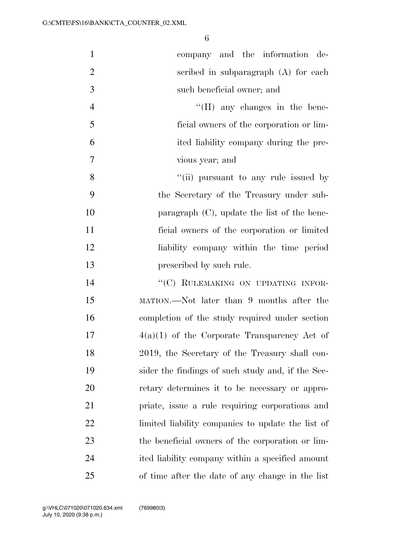| $\mathbf{1}$   | company and the information de-                   |
|----------------|---------------------------------------------------|
| $\overline{2}$ | scribed in subparagraph (A) for each              |
| 3              | such beneficial owner; and                        |
| $\overline{4}$ | $\lq\lq$ (II) any changes in the bene-            |
| 5              | ficial owners of the corporation or lim-          |
| 6              | ited liability company during the pre-            |
| $\overline{7}$ | vious year; and                                   |
| 8              | "(ii) pursuant to any rule issued by              |
| 9              | the Secretary of the Treasury under sub-          |
| 10             | paragraph $(C)$ , update the list of the bene-    |
| 11             | ficial owners of the corporation or limited       |
| 12             | liability company within the time period          |
| 13             | prescribed by such rule.                          |
| 14             | "(C) RULEMAKING ON UPDATING INFOR-                |
| 15             | MATION.—Not later than 9 months after the         |
| 16             | completion of the study required under section    |
| 17             | $4(a)(1)$ of the Corporate Transparency Act of    |
| 18             | 2019, the Secretary of the Treasury shall con-    |
| 19             | sider the findings of such study and, if the Sec- |
| 20             | retary determines it to be necessary or appro-    |
| 21             | priate, issue a rule requiring corporations and   |
| 22             | limited liability companies to update the list of |
| 23             | the beneficial owners of the corporation or lim-  |
| 24             | ited liability company within a specified amount  |
| 25             | of time after the date of any change in the list  |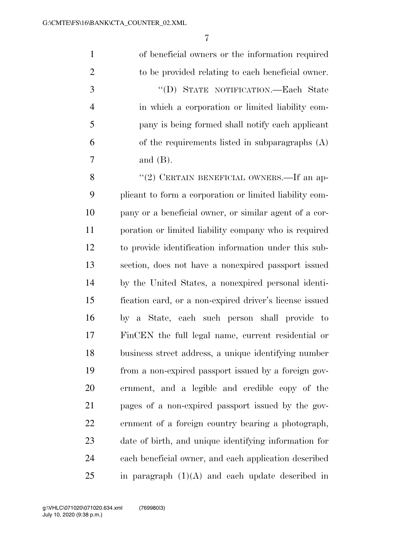of beneficial owners or the information required to be provided relating to each beneficial owner. ''(D) STATE NOTIFICATION.—Each State in which a corporation or limited liability com- pany is being formed shall notify each applicant of the requirements listed in subparagraphs (A) and (B). 8 "(2) CERTAIN BENEFICIAL OWNERS.—If an ap- plicant to form a corporation or limited liability com- pany or a beneficial owner, or similar agent of a cor- poration or limited liability company who is required to provide identification information under this sub- section, does not have a nonexpired passport issued by the United States, a nonexpired personal identi- fication card, or a non-expired driver's license issued by a State, each such person shall provide to FinCEN the full legal name, current residential or business street address, a unique identifying number from a non-expired passport issued by a foreign gov- ernment, and a legible and credible copy of the pages of a non-expired passport issued by the gov-

 ernment of a foreign country bearing a photograph, date of birth, and unique identifying information for each beneficial owner, and each application described in paragraph  $(1)(A)$  and each update described in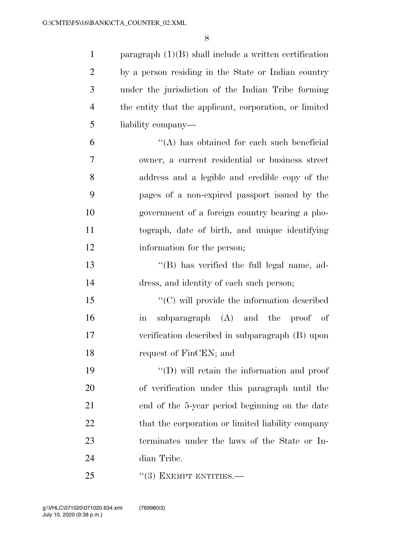paragraph (1)(B) shall include a written certification by a person residing in the State or Indian country under the jurisdiction of the Indian Tribe forming the entity that the applicant, corporation, or limited liability company—

 $(4)$  has obtained for each such beneficial owner, a current residential or business street address and a legible and credible copy of the pages of a non-expired passport issued by the government of a foreign country bearing a pho- tograph, date of birth, and unique identifying information for the person;

 ''(B) has verified the full legal name, ad-dress, and identity of each such person;

 $\langle ^{\prime}(C) \rangle$  will provide the information described in subparagraph (A) and the proof of verification described in subparagraph (B) upon request of FinCEN; and

 $\qquad$  ''(D) will retain the information and proof of verification under this paragraph until the end of the 5-year period beginning on the date 22 that the corporation or limited liability company terminates under the laws of the State or In-dian Tribe.

25 "(3) EXEMPT ENTITIES.—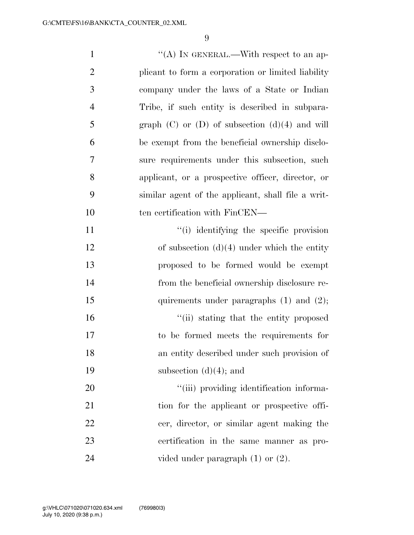$\langle (A) \rangle$  In GENERAL.—With respect to an ap- plicant to form a corporation or limited liability company under the laws of a State or Indian Tribe, if such entity is described in subpara-5 graph  $(C)$  or  $(D)$  of subsection  $(d)(4)$  and will be exempt from the beneficial ownership disclo- sure requirements under this subsection, such applicant, or a prospective officer, director, or similar agent of the applicant, shall file a writ-10 ten certification with FinCEN—  $\frac{1}{10}$  identifying the specific provision 12 of subsection (d)(4) under which the entity proposed to be formed would be exempt from the beneficial ownership disclosure re-15 quirements under paragraphs (1) and (2); 16 ''(ii) stating that the entity proposed to be formed meets the requirements for an entity described under such provision of 19 subsection  $(d)(4)$ ; and  $\frac{1}{1}$   $\frac{1}{1}$  providing identification informa-21 tion for the applicant or prospective offi- cer, director, or similar agent making the certification in the same manner as pro-24 vided under paragraph (1) or (2).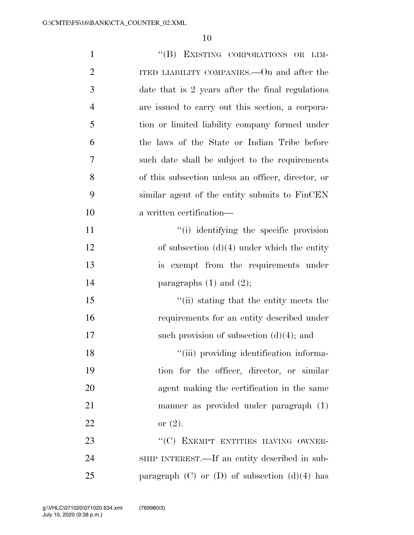1 "(B) EXISTING CORPORATIONS OR LIM- ITED LIABILITY COMPANIES.—On and after the date that is 2 years after the final regulations are issued to carry out this section, a corpora- tion or limited liability company formed under the laws of the State or Indian Tribe before such date shall be subject to the requirements of this subsection unless an officer, director, or similar agent of the entity submits to FinCEN a written certification—  $\frac{1}{10}$  identifying the specific provision 12 of subsection (d)(4) under which the entity is exempt from the requirements under 14 paragraphs  $(1)$  and  $(2)$ ; ''(ii) stating that the entity meets the requirements for an entity described under 17 such provision of subsection (d)(4); and  $\frac{1}{10}$  providing identification informa- tion for the officer, director, or similar agent making the certification in the same manner as provided under paragraph (1) or (2). 23 "
(C) EXEMPT ENTITIES HAVING OWNER- SHIP INTEREST.—If an entity described in sub-25 paragraph  $(C)$  or  $(D)$  of subsection  $(d)(4)$  has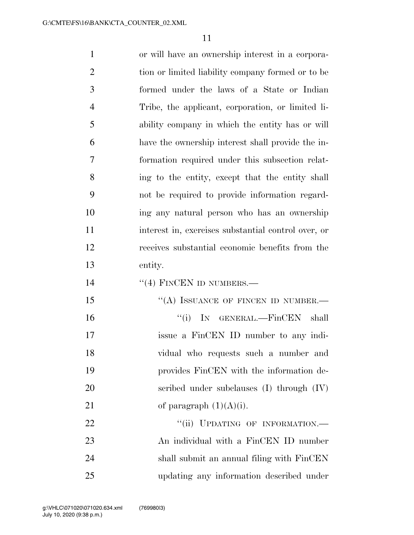or will have an ownership interest in a corpora-2 tion or limited liability company formed or to be formed under the laws of a State or Indian Tribe, the applicant, corporation, or limited li- ability company in which the entity has or will have the ownership interest shall provide the in- formation required under this subsection relat- ing to the entity, except that the entity shall not be required to provide information regard- ing any natural person who has an ownership interest in, exercises substantial control over, or receives substantial economic benefits from the entity. 14 "(4) FINCEN ID NUMBERS.— 15 "(A) ISSUANCE OF FINCEN ID NUMBER.— 16 "(i) IN GENERAL.—FinCEN shall issue a FinCEN ID number to any indi- vidual who requests such a number and provides FinCEN with the information de- scribed under subclauses (I) through (IV) 21 of paragraph  $(1)(A)(i)$ . 22 "(ii) UPDATING OF INFORMATION.— An individual with a FinCEN ID number shall submit an annual filing with FinCEN

updating any information described under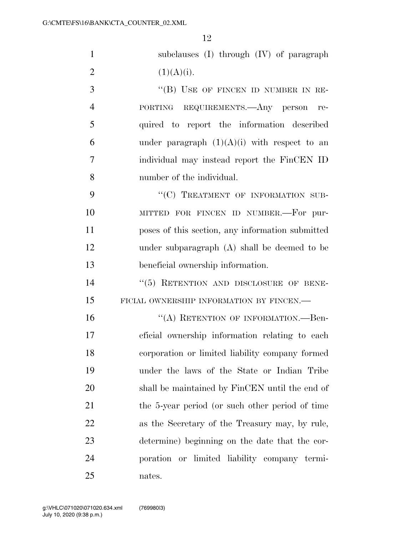| 1              | subclauses (I) through (IV) of paragraph         |
|----------------|--------------------------------------------------|
| $\overline{2}$ | (1)(A)(i).                                       |
| 3              | "(B) USE OF FINCEN ID NUMBER IN RE-              |
| $\overline{4}$ | PORTING REQUIREMENTS.—Any person re-             |
| 5              | quired to report the information described       |
| 6              | under paragraph $(1)(A)(i)$ with respect to an   |
| $\overline{7}$ | individual may instead report the FinCEN ID      |
| 8              | number of the individual.                        |
| 9              | "(C) TREATMENT OF INFORMATION SUB-               |
| 10             | MITTED FOR FINCEN ID NUMBER.-For pur-            |
| 11             | poses of this section, any information submitted |
| 12             | under subparagraph (A) shall be deemed to be     |
| 13             | beneficial ownership information.                |
| 14             | "(5) RETENTION AND DISCLOSURE OF BENE-           |
| 15             | FICIAL OWNERSHIP INFORMATION BY FINCEN.-         |
| 16             | "(A) RETENTION OF INFORMATION. - Ben-            |
| 17             | eficial ownership information relating to each   |
| 18             | corporation or limited liability company formed  |
| 19             | under the laws of the State or Indian Tribe      |
| 20             | shall be maintained by FinCEN until the end of   |
| 21             | the 5-year period (or such other period of time  |
| 22             | as the Secretary of the Treasury may, by rule,   |
| 23             | determine) beginning on the date that the cor-   |
| 24             | poration or limited liability company termi-     |
| 25             | nates.                                           |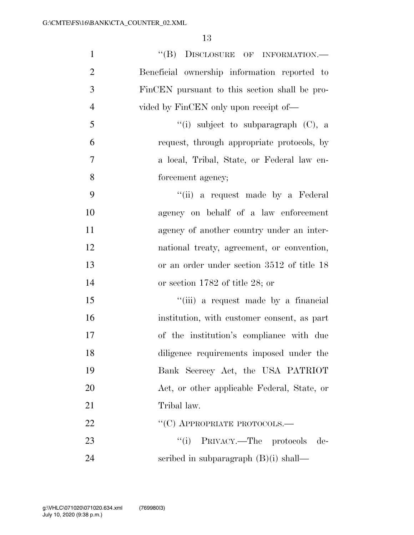| $\mathbf{1}$   | "(B) DISCLOSURE OF INFORMATION.-              |
|----------------|-----------------------------------------------|
| $\overline{2}$ | Beneficial ownership information reported to  |
| 3              | FinCEN pursuant to this section shall be pro- |
| $\overline{4}$ | vided by FinCEN only upon receipt of—         |
| 5              | "(i) subject to subparagraph $(C)$ , a        |
| 6              | request, through appropriate protocols, by    |
| 7              | a local, Tribal, State, or Federal law en-    |
| 8              | forcement agency;                             |
| 9              | "(ii) a request made by a Federal             |
| 10             | agency on behalf of a law enforcement         |
| 11             | agency of another country under an inter-     |
| 12             | national treaty, agreement, or convention,    |
| 13             | or an order under section 3512 of title 18    |
| 14             | or section $1782$ of title 28; or             |
| 15             | "(iii) a request made by a financial          |
| 16             | institution, with customer consent, as part   |
| 17             | of the institution's compliance with due      |
| 18             | diligence requirements imposed under the      |
| 19             | Bank Secrecy Act, the USA PATRIOT             |
| 20             | Act, or other applicable Federal, State, or   |
| 21             | Tribal law.                                   |
| 22             | "(C) APPROPRIATE PROTOCOLS.—                  |
| 23             | ``(i)<br>PRIVACY.—The protocols de-           |
| 24             | scribed in subparagraph $(B)(i)$ shall—       |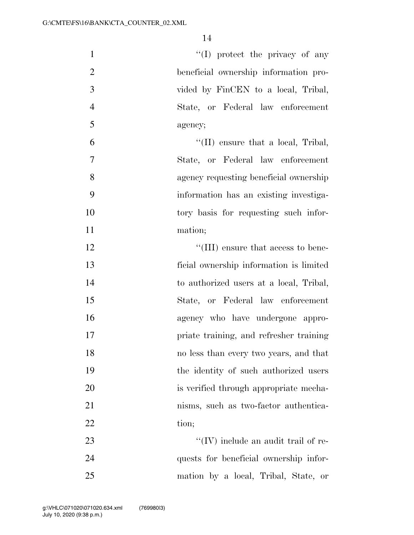$\langle (I) \rangle$  protect the privacy of any beneficial ownership information pro- vided by FinCEN to a local, Tribal, State, or Federal law enforcement agency;  $\mathfrak{t}^{\prime}$  (II) ensure that a local, Tribal, State, or Federal law enforcement agency requesting beneficial ownership information has an existing investiga- tory basis for requesting such infor- mation;  $\frac{12}{\text{III}}$  ensure that access to bene- ficial ownership information is limited to authorized users at a local, Tribal, State, or Federal law enforcement agency who have undergone appro- priate training, and refresher training no less than every two years, and that the identity of such authorized users is verified through appropriate mecha-

22 tion;

23  $\cdot$  ''(IV) include an audit trail of re- quests for beneficial ownership infor-mation by a local, Tribal, State, or

nisms, such as two-factor authentica-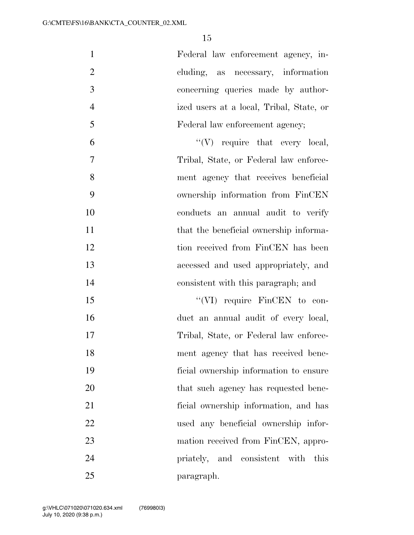| $\mathbf{1}$   | Federal law enforcement agency, in-      |
|----------------|------------------------------------------|
| $\mathfrak{2}$ | cluding, as necessary, information       |
| 3              | concerning queries made by author-       |
| $\overline{4}$ | ized users at a local, Tribal, State, or |
| 5              | Federal law enforcement agency;          |
| 6              | $\lq\lq (V)$ require that every local,   |
| 7              | Tribal, State, or Federal law enforce-   |
| 8              | ment agency that receives beneficial     |
| 9              | ownership information from FinCEN        |
| 10             | conducts an annual audit to verify       |
| 11             | that the beneficial ownership informa-   |
| 12             | tion received from FinCEN has been       |
| 13             | accessed and used appropriately, and     |
| 14             | consistent with this paragraph; and      |
| 15             | "(VI) require FinCEN to con-             |
| 16             | duct an annual audit of every local,     |
| 17             | Tribal, State, or Federal law enforce-   |
| 18             | ment agency that has received bene-      |
| 19             | ficial ownership information to ensure   |
| 20             | that such agency has requested bene-     |
| 21             | ficial ownership information, and has    |
| 22             | used any beneficial ownership infor-     |
| 23             | mation received from FinCEN, appro-      |
| 24             | priately, and consistent with this       |
| 25             | paragraph.                               |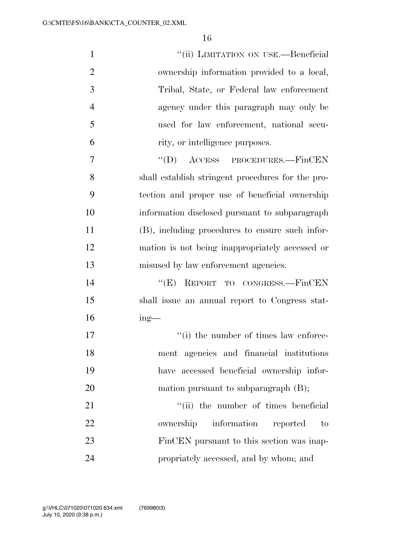| $\mathbf{1}$   | "(ii) LIMITATION ON USE.—Beneficial               |
|----------------|---------------------------------------------------|
| $\overline{2}$ | ownership information provided to a local,        |
| 3              | Tribal, State, or Federal law enforcement         |
| $\overline{4}$ | agency under this paragraph may only be           |
| 5              | used for law enforcement, national secu-          |
| 6              | rity, or intelligence purposes.                   |
| 7              | "(D) ACCESS PROCEDURES.—FinCEN                    |
| 8              | shall establish stringent procedures for the pro- |
| 9              | tection and proper use of beneficial ownership    |
| 10             | information disclosed pursuant to subparagraph    |
| 11             | (B), including procedures to ensure such infor-   |
| 12             | mation is not being inappropriately accessed or   |
| 13             | misused by law enforcement agencies.              |
| 14             | ``(E)<br>REPORT TO CONGRESS.-FinCEN               |
| 15             | shall issue an annual report to Congress stat-    |
| 16             | $ing$ —                                           |
| 17             | "(i) the number of times law enforce-             |
| 18             | ment agencies and financial institutions          |
| 19             | have accessed beneficial ownership infor-         |
| 20             | mation pursuant to subparagraph $(B)$ ;           |
| 21             | "(ii) the number of times beneficial              |
| 22             | information reported<br>ownership<br>to           |
| 23             | FinCEN pursuant to this section was inap-         |
| 24             | propriately accessed, and by whom; and            |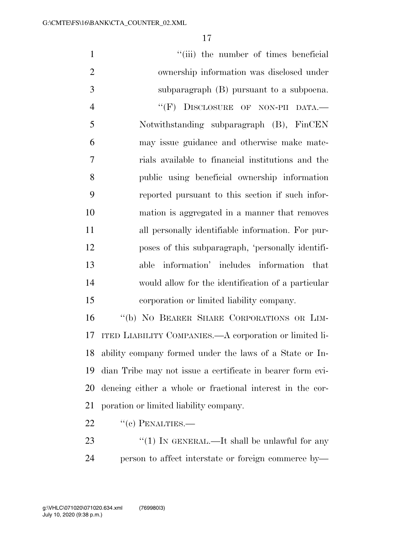1 ''(iii) the number of times beneficial ownership information was disclosed under subparagraph (B) pursuant to a subpoena. 4 "(F) DISCLOSURE OF NON-PII DATA. Notwithstanding subparagraph (B), FinCEN may issue guidance and otherwise make mate- rials available to financial institutions and the public using beneficial ownership information reported pursuant to this section if such infor- mation is aggregated in a manner that removes all personally identifiable information. For pur- poses of this subparagraph, 'personally identifi- able information' includes information that would allow for the identification of a particular corporation or limited liability company. ''(b) NO BEARER SHARE CORPORATIONS OR LIM-

 ITED LIABILITY COMPANIES.—A corporation or limited li- ability company formed under the laws of a State or In- dian Tribe may not issue a certificate in bearer form evi- dencing either a whole or fractional interest in the cor-poration or limited liability company.

22 "(c) PENALTIES.—

23 "(1) IN GENERAL.—It shall be unlawful for any person to affect interstate or foreign commerce by—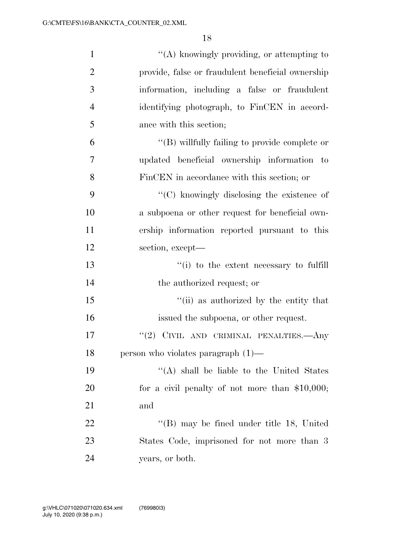| $\mathbf{1}$   | "(A) knowingly providing, or attempting to            |
|----------------|-------------------------------------------------------|
| $\overline{2}$ | provide, false or fraudulent beneficial ownership     |
| 3              | information, including a false or fraudulent          |
| $\overline{4}$ | identifying photograph, to FinCEN in accord-          |
| 5              | ance with this section;                               |
| 6              | $\lq\lq$ (B) willfully failing to provide complete or |
| 7              | updated beneficial ownership information to           |
| 8              | FinCEN in accordance with this section; or            |
| 9              | $\cdot$ (C) knowingly disclosing the existence of     |
| 10             | a subpoena or other request for beneficial own-       |
| 11             | ership information reported pursuant to this          |
| 12             | section, except—                                      |
| 13             | "(i) to the extent necessary to fulfill               |
| 14             | the authorized request; or                            |
| 15             | "(ii) as authorized by the entity that                |
| 16             | issued the subpoena, or other request.                |
| 17             | "(2) CIVIL AND CRIMINAL PENALTIES.—Any                |
| 18             | person who violates paragraph $(1)$ —                 |
| 19             | $\lq\lq$ shall be liable to the United States         |
| 20             | for a civil penalty of not more than $$10,000;$       |
| 21             | and                                                   |
| 22             | " $(B)$ may be fined under title 18, United           |
| 23             | States Code, imprisoned for not more than 3           |
| 24             | years, or both.                                       |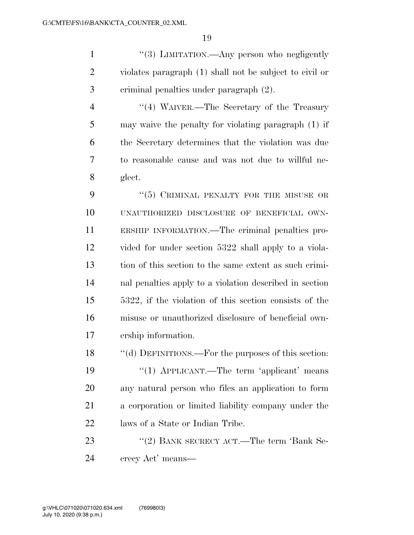1 ''(3) LIMITATION.—Any person who negligently violates paragraph (1) shall not be subject to civil or criminal penalties under paragraph (2).

4 "(4) WAIVER.—The Secretary of the Treasury may waive the penalty for violating paragraph (1) if the Secretary determines that the violation was due to reasonable cause and was not due to willful ne-glect.

9 "(5) CRIMINAL PENALTY FOR THE MISUSE OR UNAUTHORIZED DISCLOSURE OF BENEFICIAL OWN- ERSHIP INFORMATION.—The criminal penalties pro- vided for under section 5322 shall apply to a viola- tion of this section to the same extent as such crimi- nal penalties apply to a violation described in section 5322, if the violation of this section consists of the misuse or unauthorized disclosure of beneficial own-ership information.

 ''(d) DEFINITIONS.—For the purposes of this section: 19 "(1) APPLICANT.—The term 'applicant' means any natural person who files an application to form a corporation or limited liability company under the laws of a State or Indian Tribe.

23 "(2) BANK SECRECY ACT.—The term 'Bank Se-crecy Act' means—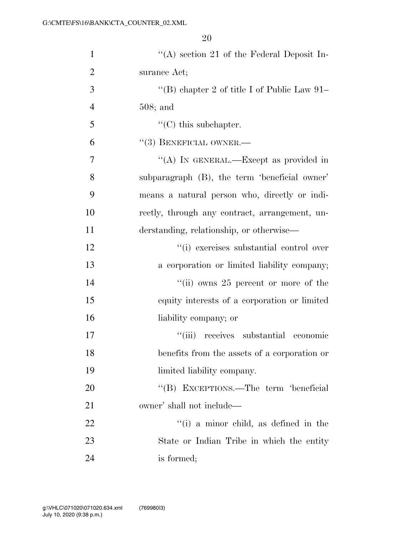| $\mathbf{1}$   | "(A) section 21 of the Federal Deposit In-     |
|----------------|------------------------------------------------|
| $\overline{2}$ | surance Act;                                   |
| 3              | "(B) chapter 2 of title I of Public Law $91-$  |
| $\overline{4}$ | $508;$ and                                     |
| 5              | $C$ ) this subchapter.                         |
| 6              | $``(3)$ BENEFICIAL OWNER.—                     |
| 7              | "(A) IN GENERAL.—Except as provided in         |
| 8              | subparagraph (B), the term 'beneficial owner'  |
| 9              | means a natural person who, directly or indi-  |
| 10             | rectly, through any contract, arrangement, un- |
| 11             | derstanding, relationship, or otherwise—       |
| 12             | "(i) exercises substantial control over        |
| 13             | a corporation or limited liability company;    |
| 14             | "(ii) owns $25$ percent or more of the         |
| 15             | equity interests of a corporation or limited   |
| 16             | liability company; or                          |
| 17             | "(iii) receives substantial economic           |
| 18             | benefits from the assets of a corporation or   |
| 19             | limited liability company.                     |
| 20             | "(B) EXCEPTIONS.—The term 'beneficial          |
| 21             | owner' shall not include—                      |
| 22             | "(i) a minor child, as defined in the          |
| 23             | State or Indian Tribe in which the entity      |
| 24             | is formed;                                     |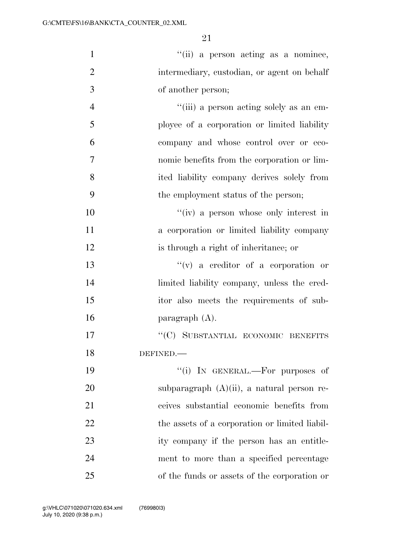| $\mathbf{1}$   | "(ii) a person acting as a nominee,            |
|----------------|------------------------------------------------|
| $\overline{2}$ | intermediary, custodian, or agent on behalf    |
| 3              | of another person;                             |
| $\overline{4}$ | "(iii) a person acting solely as an em-        |
| 5              | ployee of a corporation or limited liability   |
| 6              | company and whose control over or eco-         |
| 7              | nomic benefits from the corporation or lim-    |
| 8              | ited liability company derives solely from     |
| 9              | the employment status of the person;           |
| 10             | "(iv) a person whose only interest in          |
| 11             | a corporation or limited liability company     |
| 12             | is through a right of inheritance; or          |
| 13             | $f'(v)$ a creditor of a corporation or         |
| 14             | limited liability company, unless the cred-    |
| 15             | itor also meets the requirements of sub-       |
| 16             | paragraph $(A)$ .                              |
| 17             | "(C) SUBSTANTIAL ECONOMIC BENEFITS             |
| 18             | DEFINED.                                       |
| 19             | "(i) IN GENERAL.—For purposes of               |
| 20             | subparagraph $(A)(ii)$ , a natural person re-  |
| 21             | ceives substantial economic benefits from      |
| 22             | the assets of a corporation or limited liabil- |
| 23             | ity company if the person has an entitle-      |
| 24             | ment to more than a specified percentage       |
| 25             | of the funds or assets of the corporation or   |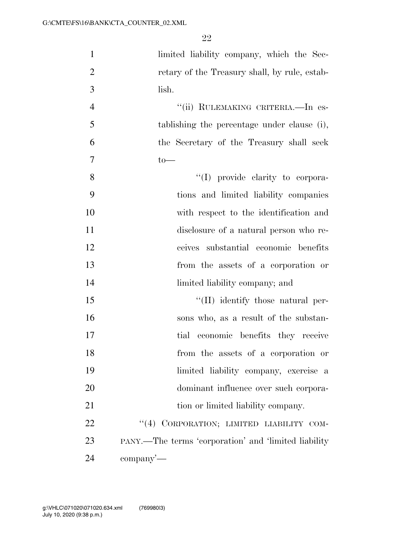| $\mathbf{1}$   | limited liability company, which the Sec-            |
|----------------|------------------------------------------------------|
| $\overline{2}$ | retary of the Treasury shall, by rule, estab-        |
| 3              | lish.                                                |
| $\overline{4}$ | "(ii) RULEMAKING CRITERIA. - In es-                  |
| 5              | tablishing the percentage under clause (i),          |
| 6              | the Secretary of the Treasury shall seek             |
| $\overline{7}$ | $to-$                                                |
| 8              | "(I) provide clarity to corpora-                     |
| 9              | tions and limited liability companies                |
| 10             | with respect to the identification and               |
| 11             | disclosure of a natural person who re-               |
| 12             | ceives substantial economic benefits                 |
| 13             | from the assets of a corporation or                  |
| 14             | limited liability company; and                       |
| 15             | "(II) identify those natural per-                    |
| 16             | sons who, as a result of the substan-                |
| 17             | tial economic benefits they receive                  |
| 18             | from the assets of a corporation or                  |
| 19             | limited liability company, exercise a                |
| 20             | dominant influence over such corpora-                |
| 21             | tion or limited liability company.                   |
| 22             | "(4) CORPORATION; LIMITED LIABILITY COM-             |
| 23             | PANY.—The terms 'corporation' and 'limited liability |
| 24             | $\mathop{\rm company}\nolimits'$                     |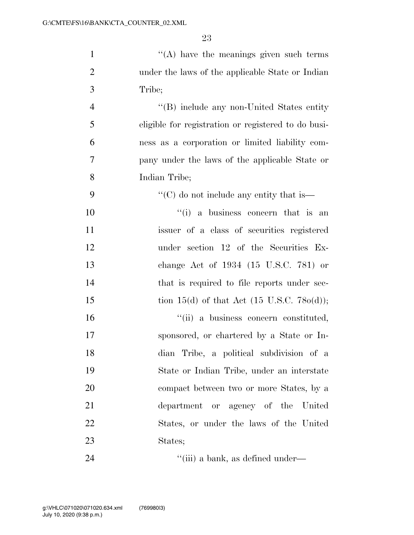$"({\rm A})$  have the meanings given such terms under the laws of the applicable State or Indian Tribe; 4 ''(B) include any non-United States entity eligible for registration or registered to do busi- ness as a corporation or limited liability com- pany under the laws of the applicable State or Indian Tribe;  $\cdot$  (C) do not include any entity that is—  $'$ (i) a business concern that is an issuer of a class of securities registered under section 12 of the Securities Ex- change Act of 1934 (15 U.S.C. 781) or 14 that is required to file reports under sec-15 tion 15(d) of that Act  $(15 \text{ U.S.C. } 780(\text{d}));$  $"$ (ii) a business concern constituted, sponsored, or chartered by a State or In- dian Tribe, a political subdivision of a State or Indian Tribe, under an interstate compact between two or more States, by a department or agency of the United States, or under the laws of the United States;

24 ''(iii) a bank, as defined under—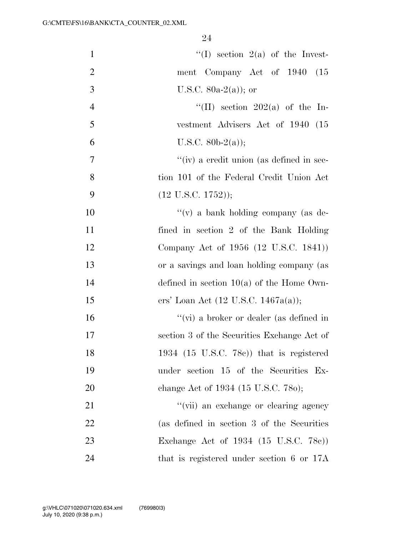| $\mathbf{1}$   | "(I) section $2(a)$ of the Invest-                 |
|----------------|----------------------------------------------------|
| $\overline{2}$ | ment Company Act of 1940 (15                       |
| 3              | U.S.C. $80a-2(a)$ ; or                             |
| $\overline{4}$ | "(II) section 202(a) of the In-                    |
| 5              | vestment Advisers Act of 1940 (15                  |
| 6              | U.S.C. $80b-2(a)$ ;                                |
| 7              | "(iv) a credit union (as defined in sec-           |
| 8              | tion 101 of the Federal Credit Union Act           |
| 9              | $(12 \text{ U.S.C. } 1752));$                      |
| 10             | $f'(v)$ a bank holding company (as de-             |
| 11             | fined in section 2 of the Bank Holding             |
| 12             | Company Act of 1956 (12 U.S.C. 1841))              |
| 13             | or a savings and loan holding company (as          |
| 14             | defined in section $10(a)$ of the Home Own-        |
| 15             | ers' Loan Act (12 U.S.C. 1467a(a));                |
| 16             | "(vi) a broker or dealer (as defined in            |
| 17             | section 3 of the Securities Exchange Act of        |
| 18             | 1934 $(15 \text{ U.S.C. } 78c)$ that is registered |
| 19             | under section 15 of the Securities Ex-             |
| 20             | change Act of 1934 (15 U.S.C. 780);                |
| 21             | "(vii) an exchange or clearing agency              |
| 22             | (as defined in section 3 of the Securities         |
| 23             | Exchange Act of 1934 (15 U.S.C. 78c))              |
| 24             | that is registered under section 6 or 17A          |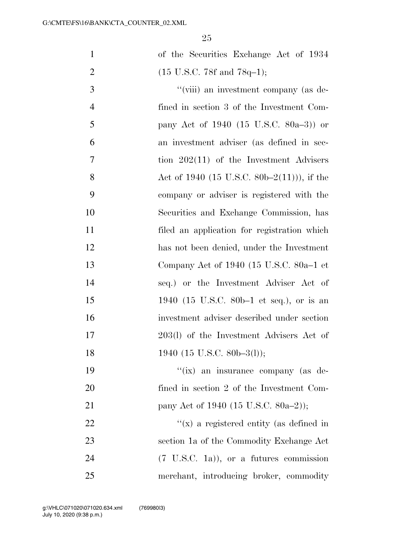|                | 25                                               |
|----------------|--------------------------------------------------|
| $\mathbf{1}$   | of the Securities Exchange Act of 1934           |
| $\overline{2}$ | $(15 \text{ U.S.C. } 78f \text{ and } 78q-1);$   |
| 3              | "(viii) an investment company (as de-            |
| $\overline{4}$ | fined in section 3 of the Investment Com-        |
| 5              | pany Act of 1940 $(15 \text{ U.S.C. } 80a-3)$ or |
| 6              | an investment adviser (as defined in sec-        |
| 7              | tion $202(11)$ of the Investment Advisers        |
| 8              | Act of 1940 (15 U.S.C. 80b-2(11))), if the       |
| 9              | company or adviser is registered with the        |
| 10             | Securities and Exchange Commission, has          |
| 11             | filed an application for registration which      |
| 12             | has not been denied, under the Investment        |
| 13             | Company Act of 1940 (15 U.S.C. 80a–1 et          |
| 14             | seq.) or the Investment Adviser Act of           |
| 15             | 1940 (15 U.S.C. 80b–1 et seq.), or is an         |
| 16             | investment adviser described under section       |
| 17             | 203(1) of the Investment Advisers Act of         |

18 1940 (15 U.S.C. 80b–3(l));

 ''(ix) an insurance company (as de- fined in section 2 of the Investment Com-21 pany Act of 1940 (15 U.S.C. 80a–2));

 $\frac{f'(x)}{g(x)}$  a registered entity (as defined in section 1a of the Commodity Exchange Act (7 U.S.C. 1a)), or a futures commission merchant, introducing broker, commodity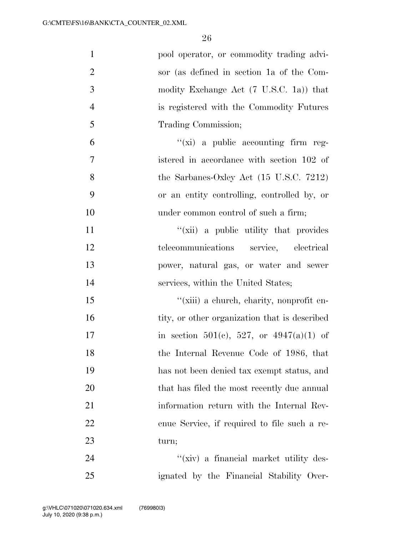| $\mathbf{1}$   | pool operator, or commodity trading advi-          |
|----------------|----------------------------------------------------|
| $\overline{2}$ | sor (as defined in section 1a of the Com-          |
| 3              | modity Exchange Act (7 U.S.C. 1a)) that            |
| $\overline{4}$ | is registered with the Commodity Futures           |
| 5              | Trading Commission;                                |
| 6              | $\lq\lq$ (xi) a public accounting firm reg-        |
| 7              | istered in accordance with section 102 of          |
| 8              | the Sarbanes-Oxley Act $(15 \text{ U.S.C. } 7212)$ |
| 9              | or an entity controlling, controlled by, or        |
| 10             | under common control of such a firm;               |
| 11             | "(xii) a public utility that provides              |
| 12             | telecommunications service, electrical             |
| 13             | power, natural gas, or water and sewer             |
| 14             | services, within the United States;                |
| 15             | "(xiii) a church, charity, nonprofit en-           |
| 16             | tity, or other organization that is described      |
| 17             | in section 501(c), 527, or $4947(a)(1)$ of         |
| 18             | the Internal Revenue Code of 1986, that            |
| 19             | has not been denied tax exempt status, and         |
| 20             | that has filed the most recently due annual        |
| 21             | information return with the Internal Rev-          |
| 22             | enue Service, if required to file such a re-       |
| 23             | turn;                                              |
| 24             | "(xiv) a financial market utility des-             |
| 25             | ignated by the Financial Stability Over-           |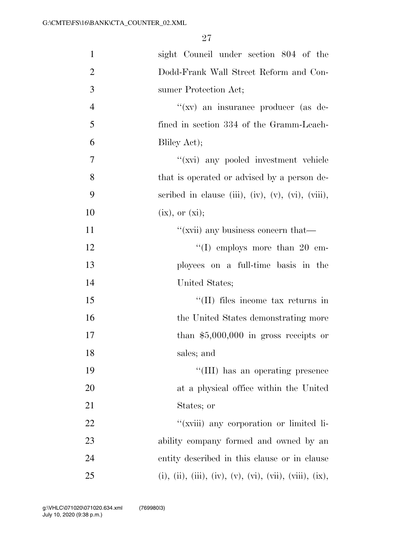| $\mathbf{1}$   | sight Council under section 804 of the                  |
|----------------|---------------------------------------------------------|
| $\overline{2}$ | Dodd-Frank Wall Street Reform and Con-                  |
| 3              | sumer Protection Act;                                   |
| $\overline{4}$ | "(xv) an insurance producer (as de-                     |
| 5              | fined in section 334 of the Gramm-Leach-                |
| 6              | Bliley Act);                                            |
| 7              | "(xvi) any pooled investment vehicle                    |
| 8              | that is operated or advised by a person de-             |
| 9              | scribed in clause (iii), (iv), (v), (vi), (viii),       |
| 10             | $(ix)$ , or $(xi);$                                     |
| 11             | "(xvii) any business concern that—                      |
| 12             | $\lq\lq$ (I) employs more than 20 em-                   |
| 13             | ployees on a full-time basis in the                     |
| 14             | United States;                                          |
| 15             | "(II) files income tax returns in                       |
| 16             | the United States demonstrating more                    |
| 17             | than $$5,000,000$ in gross receipts or                  |
| 18             | sales; and                                              |
| 19             | "(III) has an operating presence                        |
| 20             | at a physical office within the United                  |
| 21             | States; or                                              |
| 22             | "(xviii) any corporation or limited li-                 |
| 23             | ability company formed and owned by an                  |
| 24             | entity described in this clause or in clause            |
| 25             | (i), (ii), (iii), (iv), (v), (vi), (vii), (viii), (ix), |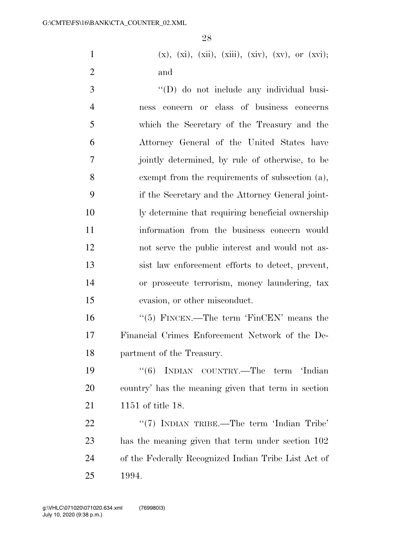1 (x), (xi), (xii), (xiii), (xiv), (xv), or (xvi); and

 ''(D) do not include any individual busi- ness concern or class of business concerns which the Secretary of the Treasury and the Attorney General of the United States have jointly determined, by rule of otherwise, to be exempt from the requirements of subsection (a), if the Secretary and the Attorney General joint- ly determine that requiring beneficial ownership information from the business concern would not serve the public interest and would not as- sist law enforcement efforts to detect, prevent, or prosecute terrorism, money laundering, tax evasion, or other misconduct.

 ''(5) FINCEN.—The term 'FinCEN' means the Financial Crimes Enforcement Network of the De-partment of the Treasury.

19 "(6) INDIAN COUNTRY.—The term 'Indian country' has the meaning given that term in section 1151 of title 18.

22 "'(7) INDIAN TRIBE.—The term 'Indian Tribe' has the meaning given that term under section 102 of the Federally Recognized Indian Tribe List Act of 1994.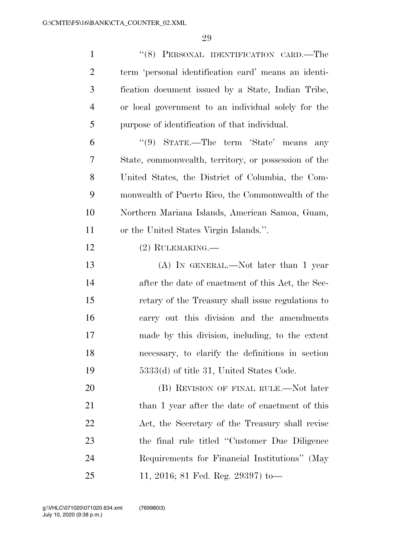| $\mathbf{1}$   | "(8) PERSONAL IDENTIFICATION CARD.—The               |
|----------------|------------------------------------------------------|
| 2              | term 'personal identification card' means an identi- |
| 3              | fication document issued by a State, Indian Tribe,   |
| $\overline{4}$ | or local government to an individual solely for the  |
| 5              | purpose of identification of that individual.        |
| 6              | "(9) STATE.—The term 'State' means<br>any            |
| 7              | State, commonwealth, territory, or possession of the |
| 8              | United States, the District of Columbia, the Com-    |
| 9              | monwealth of Puerto Rico, the Commonwealth of the    |
| 10             | Northern Mariana Islands, American Samoa, Guam,      |
| 11             | or the United States Virgin Islands.".               |
| 12             | $(2)$ RULEMAKING.—                                   |
| 13             | (A) IN GENERAL.—Not later than 1 year                |
| 14             | after the date of enactment of this Act, the Sec-    |
| 15             | retary of the Treasury shall issue regulations to    |
| 16             | carry out this division and the amendments           |
| 17             | made by this division, including, to the extent      |
| 18             | necessary, to clarify the definitions in section     |
| 19             | 5333(d) of title 31, United States Code.             |
| 20             | (B) REVISION OF FINAL RULE.—Not later                |
| 21             | than 1 year after the date of enactment of this      |
| 22             | Act, the Secretary of the Treasury shall revise      |
| 23             | the final rule titled "Customer Due Diligence"       |
| 24             | Requirements for Financial Institutions" (May        |
| 25             | 11, 2016; 81 Fed. Reg. 29397) to-                    |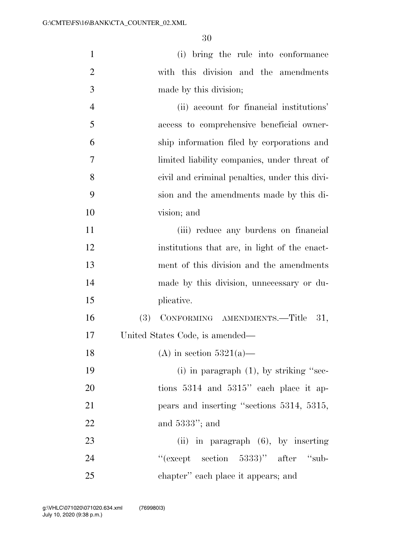| $\mathbf{1}$   | (i) bring the rule into conformance            |
|----------------|------------------------------------------------|
| $\overline{2}$ | with this division and the amendments          |
| 3              | made by this division;                         |
| $\overline{4}$ | (ii) account for financial institutions'       |
| 5              | access to comprehensive beneficial owner-      |
| 6              | ship information filed by corporations and     |
| 7              | limited liability companies, under threat of   |
| 8              | civil and criminal penalties, under this divi- |
| 9              | sion and the amendments made by this di-       |
| 10             | vision; and                                    |
| 11             | (iii) reduce any burdens on financial          |
| 12             | institutions that are, in light of the enact-  |
| 13             | ment of this division and the amendments       |
| 14             | made by this division, unnecessary or du-      |
| 15             | plicative.                                     |
| 16             | CONFORMING AMENDMENTS.-Title<br>(3)<br>31,     |
| 17             | United States Code, is amended—                |
| 18             | (A) in section $5321(a)$ —                     |
| 19             | (i) in paragraph $(1)$ , by striking "sec-     |
| 20             | tions $5314$ and $5315$ " each place it ap-    |
| 21             | pears and inserting "sections 5314, 5315,      |
| 22             | and $5333$ "; and                              |
| 23             | (ii) in paragraph (6), by inserting            |
| 24             | "(except section 5333)" after "sub-            |
| 25             | chapter" each place it appears; and            |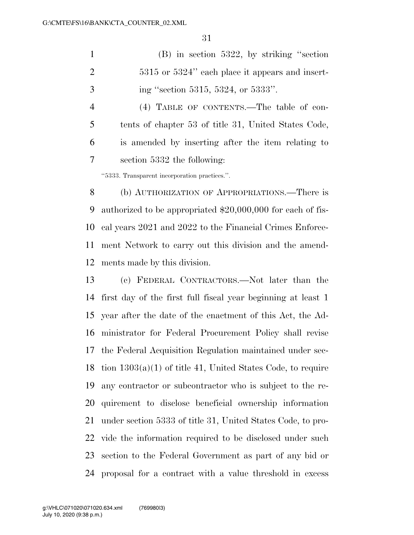(B) in section 5322, by striking ''section 2 5315 or 5324" each place it appears and insert- $3 \text{ ing}$  "section 5315, 5324, or 5333".

 (4) TABLE OF CONTENTS.—The table of con- tents of chapter 53 of title 31, United States Code, is amended by inserting after the item relating to section 5332 the following:

''5333. Transparent incorporation practices.''.

 (b) AUTHORIZATION OF APPROPRIATIONS.—There is authorized to be appropriated \$20,000,000 for each of fis- cal years 2021 and 2022 to the Financial Crimes Enforce- ment Network to carry out this division and the amend-ments made by this division.

 (c) FEDERAL CONTRACTORS.—Not later than the first day of the first full fiscal year beginning at least 1 year after the date of the enactment of this Act, the Ad- ministrator for Federal Procurement Policy shall revise the Federal Acquisition Regulation maintained under sec- tion 1303(a)(1) of title 41, United States Code, to require any contractor or subcontractor who is subject to the re- quirement to disclose beneficial ownership information under section 5333 of title 31, United States Code, to pro- vide the information required to be disclosed under such section to the Federal Government as part of any bid or proposal for a contract with a value threshold in excess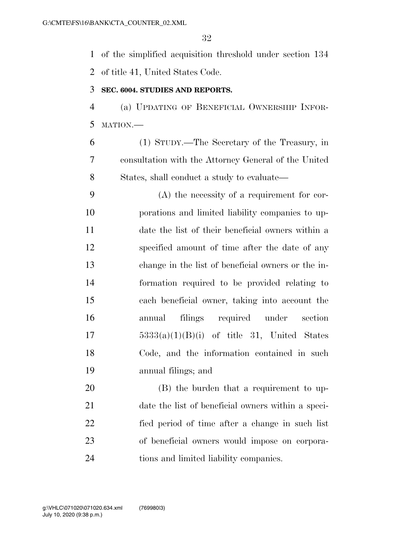of the simplified acquisition threshold under section 134 of title 41, United States Code.

#### **SEC. 6004. STUDIES AND REPORTS.**

 (a) UPDATING OF BENEFICIAL OWNERSHIP INFOR-MATION.—

 (1) STUDY.—The Secretary of the Treasury, in consultation with the Attorney General of the United States, shall conduct a study to evaluate—

 (A) the necessity of a requirement for cor- porations and limited liability companies to up- date the list of their beneficial owners within a specified amount of time after the date of any change in the list of beneficial owners or the in- formation required to be provided relating to each beneficial owner, taking into account the annual filings required under section  $5333(a)(1)(B)(i)$  of title 31, United States Code, and the information contained in such annual filings; and

 (B) the burden that a requirement to up- date the list of beneficial owners within a speci- fied period of time after a change in such list of beneficial owners would impose on corpora-tions and limited liability companies.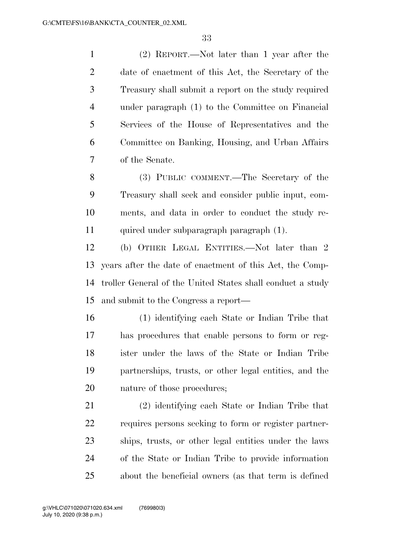(2) REPORT.—Not later than 1 year after the date of enactment of this Act, the Secretary of the Treasury shall submit a report on the study required under paragraph (1) to the Committee on Financial Services of the House of Representatives and the Committee on Banking, Housing, and Urban Affairs of the Senate.

 (3) PUBLIC COMMENT.—The Secretary of the Treasury shall seek and consider public input, com- ments, and data in order to conduct the study re-quired under subparagraph paragraph (1).

 (b) OTHER LEGAL ENTITIES.—Not later than 2 years after the date of enactment of this Act, the Comp- troller General of the United States shall conduct a study and submit to the Congress a report—

 (1) identifying each State or Indian Tribe that has procedures that enable persons to form or reg- ister under the laws of the State or Indian Tribe partnerships, trusts, or other legal entities, and the nature of those procedures;

 (2) identifying each State or Indian Tribe that requires persons seeking to form or register partner- ships, trusts, or other legal entities under the laws of the State or Indian Tribe to provide information about the beneficial owners (as that term is defined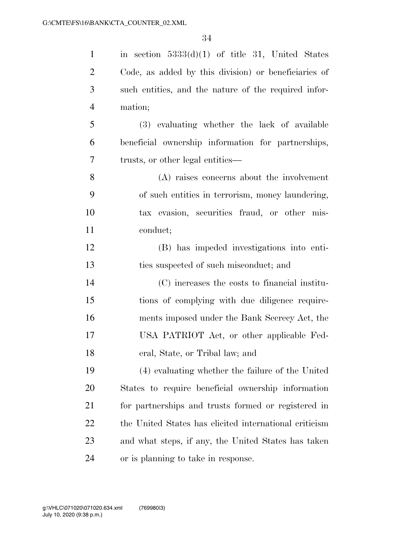| $\mathbf{1}$   | in section $5333(d)(1)$ of title 31, United States     |
|----------------|--------------------------------------------------------|
| $\overline{2}$ | Code, as added by this division) or beneficiaries of   |
| 3              | such entities, and the nature of the required infor-   |
| $\overline{4}$ | mation;                                                |
| 5              | (3) evaluating whether the lack of available           |
| 6              | beneficial ownership information for partnerships,     |
| 7              | trusts, or other legal entities—                       |
| 8              | (A) raises concerns about the involvement              |
| 9              | of such entities in terrorism, money laundering,       |
| 10             | tax evasion, securities fraud, or other mis-           |
| 11             | conduct;                                               |
| 12             | (B) has impeded investigations into enti-              |
| 13             | ties suspected of such misconduct; and                 |
| 14             | (C) increases the costs to financial institu-          |
| 15             | tions of complying with due diligence require-         |
| 16             | ments imposed under the Bank Secrecy Act, the          |
| 17             | USA PATRIOT Act, or other applicable Fed-              |
| 18             | eral, State, or Tribal law; and                        |
| 19             | (4) evaluating whether the failure of the United       |
| 20             | States to require beneficial ownership information     |
| 21             | for partnerships and trusts formed or registered in    |
| 22             | the United States has elicited international criticism |
| 23             | and what steps, if any, the United States has taken    |
| 24             | or is planning to take in response.                    |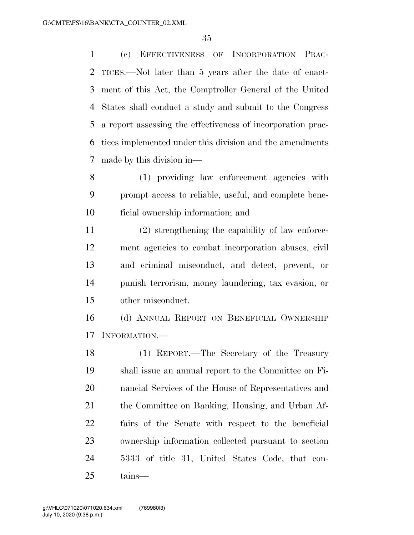(c) EFFECTIVENESS OF INCORPORATION PRAC- TICES.—Not later than 5 years after the date of enact- ment of this Act, the Comptroller General of the United States shall conduct a study and submit to the Congress a report assessing the effectiveness of incorporation prac- tices implemented under this division and the amendments made by this division in—

 (1) providing law enforcement agencies with prompt access to reliable, useful, and complete bene-ficial ownership information; and

 (2) strengthening the capability of law enforce- ment agencies to combat incorporation abuses, civil and criminal misconduct, and detect, prevent, or punish terrorism, money laundering, tax evasion, or other misconduct.

 (d) ANNUAL REPORT ON BENEFICIAL OWNERSHIP INFORMATION.—

 (1) REPORT.—The Secretary of the Treasury shall issue an annual report to the Committee on Fi- nancial Services of the House of Representatives and the Committee on Banking, Housing, and Urban Af- fairs of the Senate with respect to the beneficial ownership information collected pursuant to section 5333 of title 31, United States Code, that con-tains—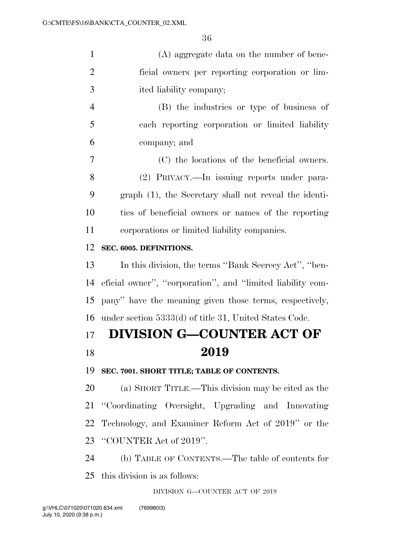| $\mathbf{1}$   | (A) aggregate data on the number of bene-                  |
|----------------|------------------------------------------------------------|
| $\overline{2}$ | ficial owners per reporting corporation or lim-            |
| 3              | ited liability company;                                    |
| $\overline{4}$ | (B) the industries or type of business of                  |
| 5              | each reporting corporation or limited liability            |
| 6              | company; and                                               |
| 7              | (C) the locations of the beneficial owners.                |
| 8              | (2) PRIVACY.—In issuing reports under para-                |
| 9              | graph (1), the Secretary shall not reveal the identi-      |
| 10             | ties of beneficial owners or names of the reporting        |
| 11             | corporations or limited liability companies.               |
| 12             | SEC. 6005. DEFINITIONS.                                    |
| 13             | In this division, the terms "Bank Secrecy Act", "ben-      |
| 14             | eficial owner", "corporation", and "limited liability com- |
| 15             | pany" have the meaning given those terms, respectively,    |
| 16             | under section 5333(d) of title 31, United States Code.     |
| 17             | <b>DIVISION G-COUNTER ACT OF</b>                           |
| 18             | 2019                                                       |
| 19             | SEC. 7001. SHORT TITLE; TABLE OF CONTENTS.                 |
| 20             | (a) SHORT TITLE.—This division may be cited as the         |
| 21             | "Coordinating Oversight, Upgrading and Innovating          |
| 22             | Technology, and Examiner Reform Act of 2019" or the        |
| 23             | "COUNTER Act of 2019".                                     |
| 24             | (b) TABLE OF CONTENTS.—The table of contents for           |
|                |                                                            |

this division is as follows:

DIVISION G—COUNTER ACT OF 2019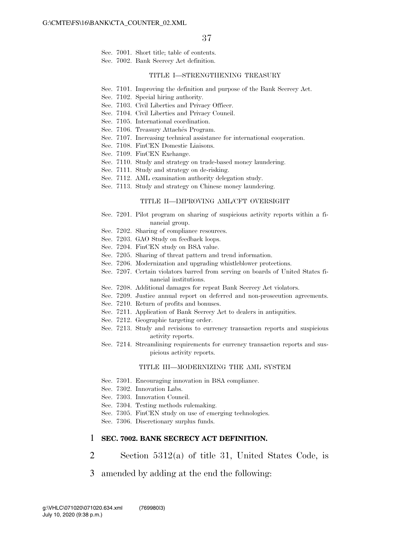Sec. 7001. Short title; table of contents.

Sec. 7002. Bank Secrecy Act definition.

#### TITLE I—STRENGTHENING TREASURY

- Sec. 7101. Improving the definition and purpose of the Bank Secrecy Act.
- Sec. 7102. Special hiring authority.
- Sec. 7103. Civil Liberties and Privacy Officer.
- Sec. 7104. Civil Liberties and Privacy Council.
- Sec. 7105. International coordination.
- Sec. 7106. Treasury Attachés Program.
- Sec. 7107. Increasing technical assistance for international cooperation.
- Sec. 7108. FinCEN Domestic Liaisons.
- Sec. 7109. FinCEN Exchange.
- Sec. 7110. Study and strategy on trade-based money laundering.
- Sec. 7111. Study and strategy on de-risking.
- Sec. 7112. AML examination authority delegation study.
- Sec. 7113. Study and strategy on Chinese money laundering.

#### TITLE II—IMPROVING AML/CFT OVERSIGHT

- Sec. 7201. Pilot program on sharing of suspicious activity reports within a financial group.
- Sec. 7202. Sharing of compliance resources.
- Sec. 7203. GAO Study on feedback loops.
- Sec. 7204. FinCEN study on BSA value.
- Sec. 7205. Sharing of threat pattern and trend information.
- Sec. 7206. Modernization and upgrading whistleblower protections.
- Sec. 7207. Certain violators barred from serving on boards of United States financial institutions.
- Sec. 7208. Additional damages for repeat Bank Secrecy Act violators.
- Sec. 7209. Justice annual report on deferred and non-prosecution agreements.
- Sec. 7210. Return of profits and bonuses.
- Sec. 7211. Application of Bank Secrecy Act to dealers in antiquities.
- Sec. 7212. Geographic targeting order.
- Sec. 7213. Study and revisions to currency transaction reports and suspicious activity reports.
- Sec. 7214. Streamlining requirements for currency transaction reports and suspicious activity reports.

#### TITLE III—MODERNIZING THE AML SYSTEM

- Sec. 7301. Encouraging innovation in BSA compliance.
- Sec. 7302. Innovation Labs.
- Sec. 7303. Innovation Council.
- Sec. 7304. Testing methods rulemaking.
- Sec. 7305. FinCEN study on use of emerging technologies.
- Sec. 7306. Discretionary surplus funds.

### 1 **SEC. 7002. BANK SECRECY ACT DEFINITION.**

- 2 Section 5312(a) of title 31, United States Code, is
- 3 amended by adding at the end the following: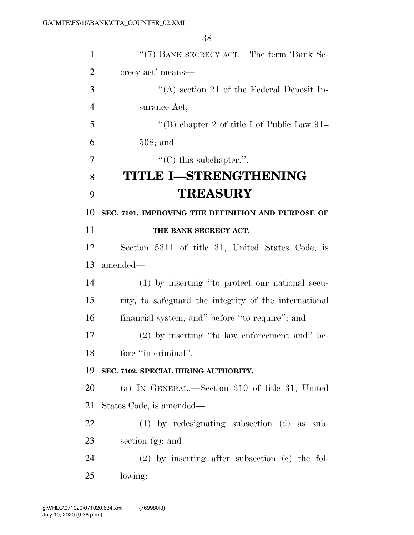| $\mathbf{1}$   | "(7) BANK SECRECY ACT.—The term 'Bank Se-             |
|----------------|-------------------------------------------------------|
| $\overline{2}$ | crecy act' means—                                     |
| 3              | "(A) section 21 of the Federal Deposit In-            |
| $\overline{4}$ | surance Act;                                          |
| 5              | "(B) chapter 2 of title I of Public Law $91-$         |
| 6              | $508;$ and                                            |
| 7              | $\lq\lq$ (C) this subchapter.".                       |
| 8              | <b>TITLE I-STRENGTHENING</b>                          |
| 9              | <b>TREASURY</b>                                       |
| 10             | SEC. 7101. IMPROVING THE DEFINITION AND PURPOSE OF    |
| 11             | THE BANK SECRECY ACT.                                 |
| 12             | Section 5311 of title 31, United States Code, is      |
| 13             | amended—                                              |
| 14             | (1) by inserting "to protect our national secu-       |
| 15             | rity, to safeguard the integrity of the international |
| 16             | financial system, and" before "to require"; and       |
| 17             | (2) by inserting "to law enforcement and" be-         |
| 18             | fore "in criminal".                                   |
| 19             | SEC. 7102. SPECIAL HIRING AUTHORITY.                  |
| 20             | (a) IN GENERAL.—Section 310 of title 31, United       |
| 21             | States Code, is amended—                              |
| 22             | $(1)$ by redesignating subsection $(d)$ as sub-       |
| 23             | section $(g)$ ; and                                   |
| 24             | $(2)$ by inserting after subsection $(c)$ the fol-    |
| 25             | lowing:                                               |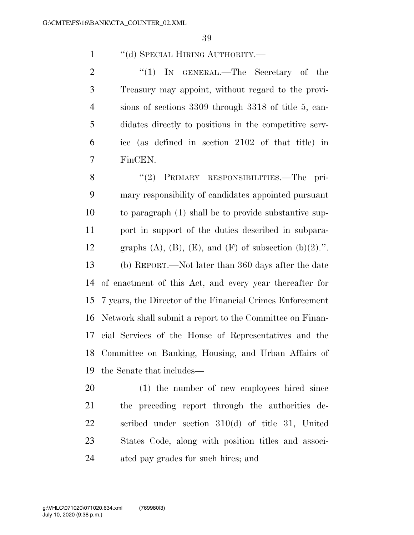1 ''(d) SPECIAL HIRING AUTHORITY.—

2 "(1) IN GENERAL.—The Secretary of the Treasury may appoint, without regard to the provi- sions of sections 3309 through 3318 of title 5, can- didates directly to positions in the competitive serv- ice (as defined in section 2102 of that title) in FinCEN.

8 "(2) PRIMARY RESPONSIBILITIES.—The pri- mary responsibility of candidates appointed pursuant to paragraph (1) shall be to provide substantive sup- port in support of the duties described in subpara-12 graphs  $(A)$ ,  $(B)$ ,  $(E)$ , and  $(F)$  of subsection  $(b)(2)$ .". (b) REPORT.—Not later than 360 days after the date of enactment of this Act, and every year thereafter for 7 years, the Director of the Financial Crimes Enforcement Network shall submit a report to the Committee on Finan- cial Services of the House of Representatives and the Committee on Banking, Housing, and Urban Affairs of the Senate that includes—

 (1) the number of new employees hired since the preceding report through the authorities de- scribed under section 310(d) of title 31, United States Code, along with position titles and associ-ated pay grades for such hires; and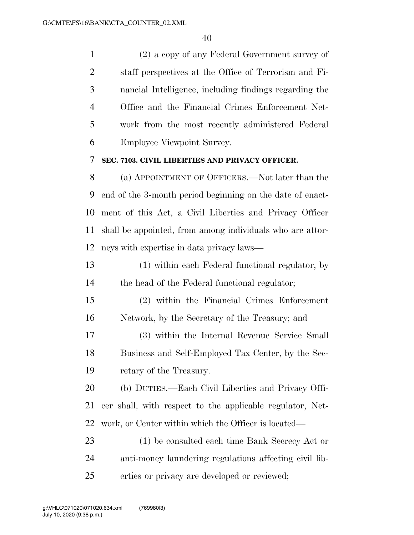(2) a copy of any Federal Government survey of staff perspectives at the Office of Terrorism and Fi- nancial Intelligence, including findings regarding the Office and the Financial Crimes Enforcement Net- work from the most recently administered Federal Employee Viewpoint Survey.

## **SEC. 7103. CIVIL LIBERTIES AND PRIVACY OFFICER.**

 (a) APPOINTMENT OF OFFICERS.—Not later than the end of the 3-month period beginning on the date of enact- ment of this Act, a Civil Liberties and Privacy Officer shall be appointed, from among individuals who are attor-neys with expertise in data privacy laws—

 (1) within each Federal functional regulator, by the head of the Federal functional regulator;

 (2) within the Financial Crimes Enforcement Network, by the Secretary of the Treasury; and

 (3) within the Internal Revenue Service Small Business and Self-Employed Tax Center, by the Sec-retary of the Treasury.

 (b) DUTIES.—Each Civil Liberties and Privacy Offi- cer shall, with respect to the applicable regulator, Net-work, or Center within which the Officer is located—

 (1) be consulted each time Bank Secrecy Act or anti-money laundering regulations affecting civil lib-erties or privacy are developed or reviewed;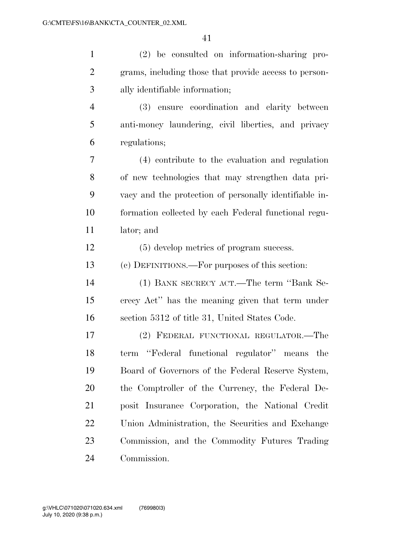(2) be consulted on information-sharing pro- grams, including those that provide access to person- ally identifiable information; (3) ensure coordination and clarity between anti-money laundering, civil liberties, and privacy regulations; (4) contribute to the evaluation and regulation of new technologies that may strengthen data pri- vacy and the protection of personally identifiable in- formation collected by each Federal functional regu- lator; and (5) develop metrics of program success. (c) DEFINITIONS.—For purposes of this section: (1) BANK SECRECY ACT.—The term ''Bank Se- crecy Act'' has the meaning given that term under section 5312 of title 31, United States Code. (2) FEDERAL FUNCTIONAL REGULATOR.—The term ''Federal functional regulator'' means the Board of Governors of the Federal Reserve System, the Comptroller of the Currency, the Federal De- posit Insurance Corporation, the National Credit Union Administration, the Securities and Exchange Commission, and the Commodity Futures Trading Commission.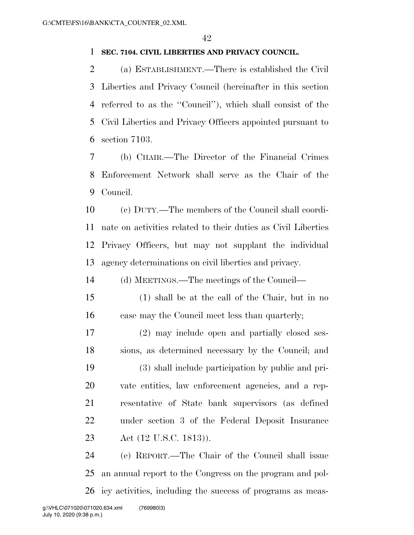## **SEC. 7104. CIVIL LIBERTIES AND PRIVACY COUNCIL.**

 (a) ESTABLISHMENT.—There is established the Civil Liberties and Privacy Council (hereinafter in this section referred to as the ''Council''), which shall consist of the Civil Liberties and Privacy Officers appointed pursuant to section 7103.

 (b) CHAIR.—The Director of the Financial Crimes Enforcement Network shall serve as the Chair of the Council.

 (c) DUTY.—The members of the Council shall coordi- nate on activities related to their duties as Civil Liberties Privacy Officers, but may not supplant the individual agency determinations on civil liberties and privacy.

(d) MEETINGS.—The meetings of the Council—

 (1) shall be at the call of the Chair, but in no case may the Council meet less than quarterly;

 (2) may include open and partially closed ses- sions, as determined necessary by the Council; and (3) shall include participation by public and pri- vate entities, law enforcement agencies, and a rep- resentative of State bank supervisors (as defined under section 3 of the Federal Deposit Insurance Act (12 U.S.C. 1813)).

 (e) REPORT.—The Chair of the Council shall issue an annual report to the Congress on the program and pol-icy activities, including the success of programs as meas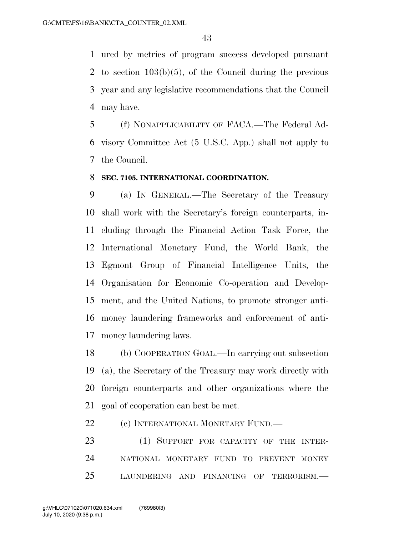ured by metrics of program success developed pursuant to section 103(b)(5), of the Council during the previous year and any legislative recommendations that the Council may have.

 (f) NONAPPLICABILITY OF FACA.—The Federal Ad- visory Committee Act (5 U.S.C. App.) shall not apply to the Council.

### **SEC. 7105. INTERNATIONAL COORDINATION.**

 (a) IN GENERAL.—The Secretary of the Treasury shall work with the Secretary's foreign counterparts, in- cluding through the Financial Action Task Force, the International Monetary Fund, the World Bank, the Egmont Group of Financial Intelligence Units, the Organisation for Economic Co-operation and Develop- ment, and the United Nations, to promote stronger anti- money laundering frameworks and enforcement of anti-money laundering laws.

 (b) COOPERATION GOAL.—In carrying out subsection (a), the Secretary of the Treasury may work directly with foreign counterparts and other organizations where the goal of cooperation can best be met.

22 (c) INTERNATIONAL MONETARY FUND.—

23 (1) SUPPORT FOR CAPACITY OF THE INTER- NATIONAL MONETARY FUND TO PREVENT MONEY LAUNDERING AND FINANCING OF TERRORISM.—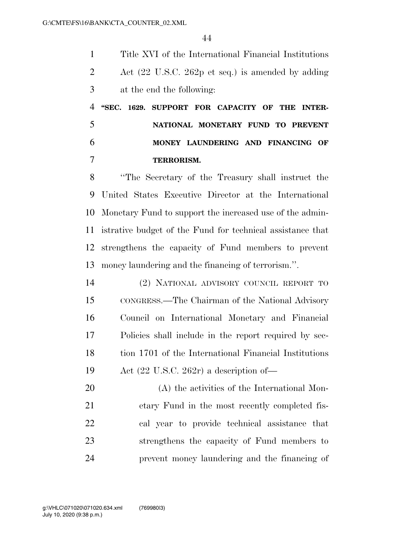Title XVI of the International Financial Institutions Act (22 U.S.C. 262p et seq.) is amended by adding at the end the following:

 **''SEC. 1629. SUPPORT FOR CAPACITY OF THE INTER- NATIONAL MONETARY FUND TO PREVENT MONEY LAUNDERING AND FINANCING OF TERRORISM.** 

 ''The Secretary of the Treasury shall instruct the United States Executive Director at the International Monetary Fund to support the increased use of the admin- istrative budget of the Fund for technical assistance that strengthens the capacity of Fund members to prevent money laundering and the financing of terrorism.''.

 (2) NATIONAL ADVISORY COUNCIL REPORT TO CONGRESS.—The Chairman of the National Advisory Council on International Monetary and Financial Policies shall include in the report required by sec- tion 1701 of the International Financial Institutions Act (22 U.S.C. 262r) a description of—

 (A) the activities of the International Mon- etary Fund in the most recently completed fis- cal year to provide technical assistance that strengthens the capacity of Fund members to prevent money laundering and the financing of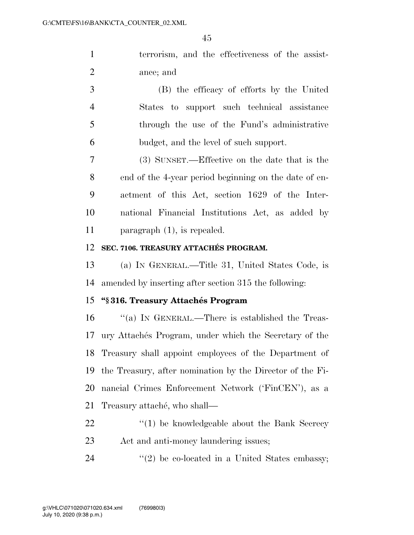terrorism, and the effectiveness of the assist-ance; and

 (B) the efficacy of efforts by the United States to support such technical assistance through the use of the Fund's administrative budget, and the level of such support.

 (3) SUNSET.—Effective on the date that is the end of the 4-year period beginning on the date of en- actment of this Act, section 1629 of the Inter- national Financial Institutions Act, as added by paragraph (1), is repealed.

# 12 SEC. 7106. TREASURY ATTACHÉS PROGRAM.

 (a) IN GENERAL.—Title 31, United States Code, is amended by inserting after section 315 the following:

# 15 "§ 316. Treasury Attachés Program

16 "(a) In GENERAL.—There is established the Treas-17 ury Attachés Program, under which the Secretary of the Treasury shall appoint employees of the Department of the Treasury, after nomination by the Director of the Fi- nancial Crimes Enforcement Network ('FinCEN'), as a 21 Treasury attaché, who shall—

22 ''(1) be knowledgeable about the Bank Secrecy Act and anti-money laundering issues;

24 ''(2) be co-located in a United States embassy;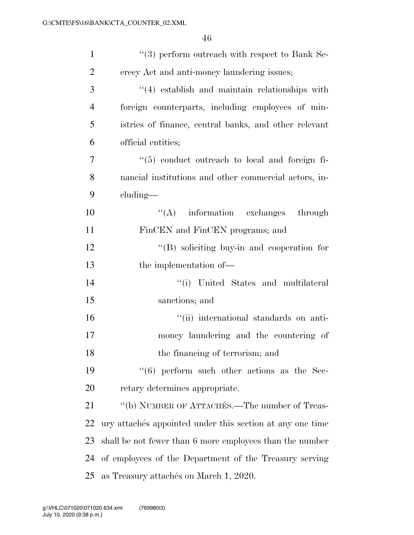| $\mathbf{1}$   | $\cdot\cdot$ (3) perform outreach with respect to Bank Se- |
|----------------|------------------------------------------------------------|
| $\overline{2}$ | crecy Act and anti-money laundering issues;                |
| 3              | "(4) establish and maintain relationships with             |
| $\overline{4}$ | foreign counterparts, including employees of min-          |
| 5              | istries of finance, central banks, and other relevant      |
| 6              | official entities;                                         |
| 7              | $\lq(5)$ conduct outreach to local and foreign fi-         |
| 8              | nancial institutions and other commercial actors, in-      |
| 9              | cluding—                                                   |
| 10             | $\lq\lq$ information exchanges through                     |
| 11             | FinCEN and FinCEN programs; and                            |
| 12             | "(B) soliciting buy-in and cooperation for                 |
| 13             | the implementation of—                                     |
| 14             | "(i) United States and multilateral                        |
| 15             | sanctions; and                                             |
| 16             | "(ii) international standards on anti-                     |
| 17             | money laundering and the countering of                     |
| 18             | the financing of terrorism; and                            |
| 19             | $(6)$ perform such other actions as the Sec-               |
| 20             | retary determines appropriate.                             |
| 21             | "(b) NUMBER OF ATTACHÉS.—The number of Treas-              |
| 22             | ury attachés appointed under this section at any one time  |
| 23             | shall be not fewer than 6 more employees than the number   |
| 24             | of employees of the Department of the Treasury serving     |
| 25             | as Treasury attachés on March 1, 2020.                     |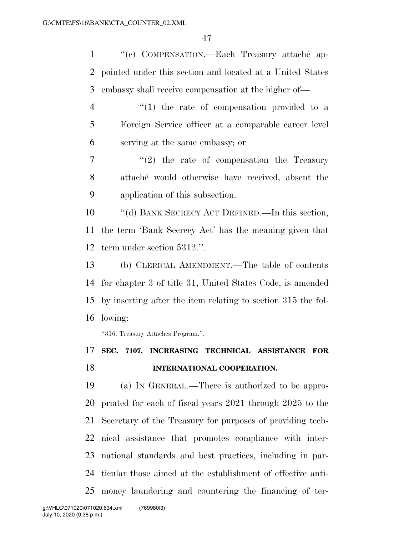''(c) COMPENSATION.—Each Treasury attache´ ap- pointed under this section and located at a United States embassy shall receive compensation at the higher of—

4 ''(1) the rate of compensation provided to a Foreign Service officer at a comparable career level serving at the same embassy; or

7  $\frac{1}{2}$  the rate of compensation the Treasury 8 attaché would otherwise have received, absent the application of this subsection.

 ''(d) BANK SECRECY ACT DEFINED.—In this section, the term 'Bank Secrecy Act' has the meaning given that term under section 5312.''.

 (b) CLERICAL AMENDMENT.—The table of contents for chapter 3 of title 31, United States Code, is amended by inserting after the item relating to section 315 the fol-lowing:

"316. Treasury Attachés Program.".

# **SEC. 7107. INCREASING TECHNICAL ASSISTANCE FOR INTERNATIONAL COOPERATION.**

 (a) IN GENERAL.—There is authorized to be appro- priated for each of fiscal years 2021 through 2025 to the Secretary of the Treasury for purposes of providing tech- nical assistance that promotes compliance with inter- national standards and best practices, including in par- ticular those aimed at the establishment of effective anti-money laundering and countering the financing of ter-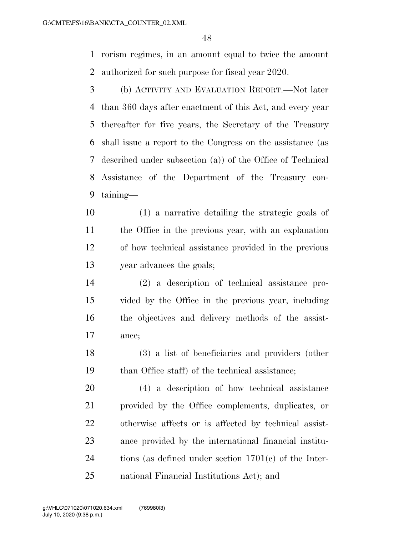rorism regimes, in an amount equal to twice the amount authorized for such purpose for fiscal year 2020.

 (b) ACTIVITY AND EVALUATION REPORT.—Not later than 360 days after enactment of this Act, and every year thereafter for five years, the Secretary of the Treasury shall issue a report to the Congress on the assistance (as described under subsection (a)) of the Office of Technical Assistance of the Department of the Treasury con-taining—

 (1) a narrative detailing the strategic goals of the Office in the previous year, with an explanation of how technical assistance provided in the previous year advances the goals;

 (2) a description of technical assistance pro- vided by the Office in the previous year, including the objectives and delivery methods of the assist-ance;

 (3) a list of beneficiaries and providers (other 19 than Office staff) of the technical assistance;

 (4) a description of how technical assistance provided by the Office complements, duplicates, or otherwise affects or is affected by technical assist- ance provided by the international financial institu- tions (as defined under section 1701(c) of the Inter-national Financial Institutions Act); and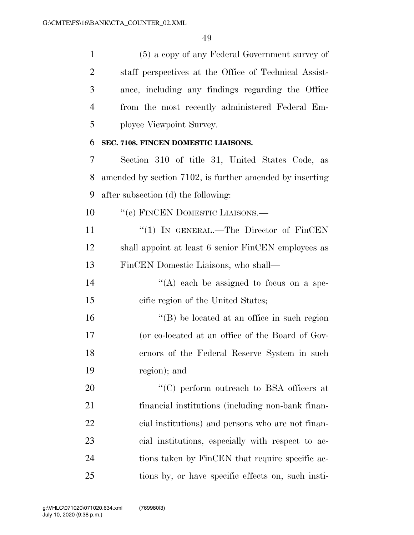(5) a copy of any Federal Government survey of staff perspectives at the Office of Technical Assist- ance, including any findings regarding the Office from the most recently administered Federal Em-ployee Viewpoint Survey.

# **SEC. 7108. FINCEN DOMESTIC LIAISONS.**

 Section 310 of title 31, United States Code, as amended by section 7102, is further amended by inserting after subsection (d) the following:

10 "'(e) FINCEN DOMESTIC LIAISONS.—

 ''(1) IN GENERAL.—The Director of FinCEN shall appoint at least 6 senior FinCEN employees as FinCEN Domestic Liaisons, who shall—

14  $\langle (A)$  each be assigned to focus on a spe-cific region of the United States;

 $\langle G \rangle$  be located at an office in such region (or co-located at an office of the Board of Gov- ernors of the Federal Reserve System in such region); and

 $\cdot$  (C) perform outreach to BSA officers at financial institutions (including non-bank finan- cial institutions) and persons who are not finan- cial institutions, especially with respect to ac-24 tions taken by FinCEN that require specific ac-tions by, or have specific effects on, such insti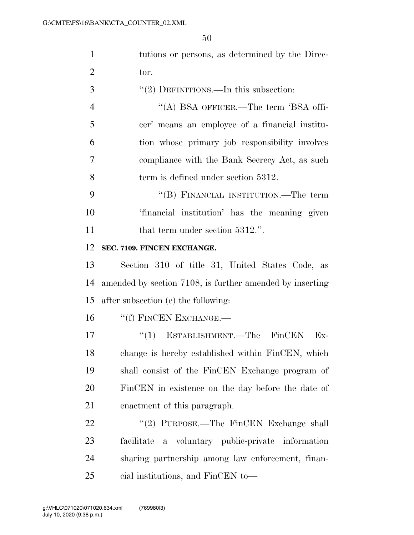tutions or persons, as determined by the Direc-2 tor.

 ''(2) DEFINITIONS.—In this subsection: ''(A) BSA OFFICER.—The term 'BSA offi- cer' means an employee of a financial institu- tion whose primary job responsibility involves compliance with the Bank Secrecy Act, as such 8 term is defined under section 5312.

 ''(B) FINANCIAL INSTITUTION.—The term 'financial institution' has the meaning given 11 that term under section 5312.".

### **SEC. 7109. FINCEN EXCHANGE.**

 Section 310 of title 31, United States Code, as amended by section 7108, is further amended by inserting after subsection (e) the following:

16 "(f) FINCEN EXCHANGE.—

17 ''(1) ESTABLISHMENT.—The FinCEN Ex- change is hereby established within FinCEN, which shall consist of the FinCEN Exchange program of FinCEN in existence on the day before the date of enactment of this paragraph.

22 "'(2) PURPOSE.—The FinCEN Exchange shall facilitate a voluntary public-private information sharing partnership among law enforcement, finan-cial institutions, and FinCEN to—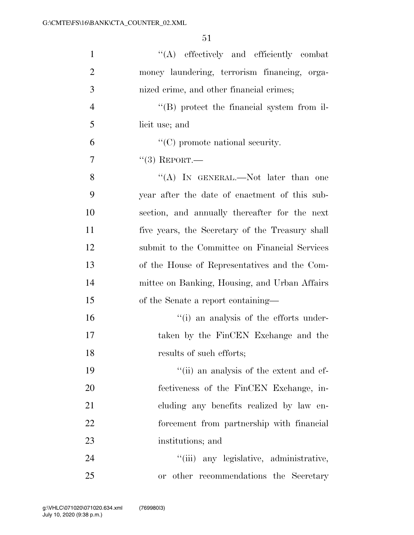| $\mathbf{1}$   | "(A) effectively and efficiently combat         |
|----------------|-------------------------------------------------|
| $\overline{2}$ | money laundering, terrorism financing, orga-    |
| 3              | nized crime, and other financial crimes;        |
| $\overline{4}$ | "(B) protect the financial system from il-      |
| 5              | licit use; and                                  |
| 6              | $\lq\lq$ (C) promote national security.         |
| 7              | $``(3)$ REPORT.—                                |
| 8              | "(A) IN GENERAL.—Not later than one             |
| 9              | year after the date of enactment of this sub-   |
| 10             | section, and annually thereafter for the next   |
| 11             | five years, the Secretary of the Treasury shall |
| 12             | submit to the Committee on Financial Services   |
| 13             | of the House of Representatives and the Com-    |
| 14             | mittee on Banking, Housing, and Urban Affairs   |
| 15             | of the Senate a report containing—              |
| 16             | "(i) an analysis of the efforts under-          |
| 17             | taken by the FinCEN Exchange and the            |
| 18             | results of such efforts;                        |
| 19             | "(ii) an analysis of the extent and ef-         |
| 20             | fectiveness of the FinCEN Exchange, in-         |
| 21             | cluding any benefits realized by law en-        |
| 22             | forcement from partnership with financial       |
| 23             | institutions; and                               |
| 24             | "(iii) any legislative, administrative,         |
| 25             | or other recommendations the Secretary          |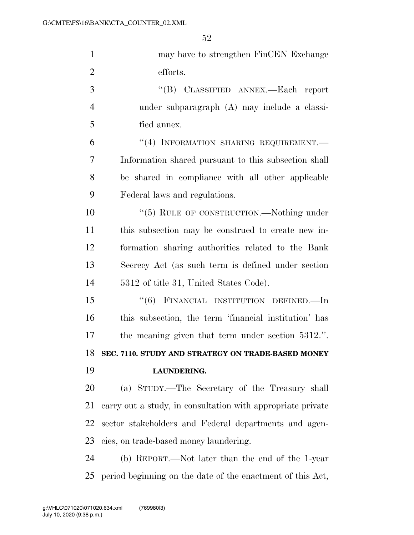| $\mathbf{1}$   | may have to strengthen FinCEN Exchange                      |
|----------------|-------------------------------------------------------------|
| $\overline{2}$ | efforts.                                                    |
| 3              | "(B) CLASSIFIED ANNEX.—Each report                          |
| $\overline{4}$ | under subparagraph (A) may include a classi-                |
| 5              | fied annex.                                                 |
| 6              | "(4) INFORMATION SHARING REQUIREMENT.-                      |
| 7              | Information shared pursuant to this subsection shall        |
| 8              | be shared in compliance with all other applicable           |
| 9              | Federal laws and regulations.                               |
| 10             | "(5) RULE OF CONSTRUCTION.—Nothing under                    |
| 11             | this subsection may be construed to create new in-          |
| 12             | formation sharing authorities related to the Bank           |
| 13             | Secrecy Act (as such term is defined under section          |
| 14             | 5312 of title 31, United States Code).                      |
| 15             | "(6) FINANCIAL INSTITUTION DEFINED.—In                      |
| 16             | this subsection, the term 'financial institution' has       |
| 17             | the meaning given that term under section 5312.".           |
| 18             | SEC. 7110. STUDY AND STRATEGY ON TRADE-BASED MONEY          |
| 19             | LAUNDERING.                                                 |
| 20             | (a) STUDY.—The Secretary of the Treasury shall              |
| 21             | carry out a study, in consultation with appropriate private |
| 22             | sector stakeholders and Federal departments and agen-       |
| 23             | cies, on trade-based money laundering.                      |
| 24             | (b) REPORT.—Not later than the end of the 1-year            |
| 25             | period beginning on the date of the enactment of this Act,  |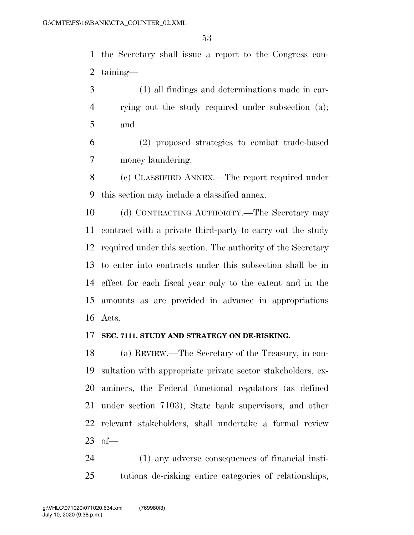the Secretary shall issue a report to the Congress con-taining—

 (1) all findings and determinations made in car- rying out the study required under subsection (a); and

 (2) proposed strategies to combat trade-based money laundering.

 (c) CLASSIFIED ANNEX.—The report required under this section may include a classified annex.

 (d) CONTRACTING AUTHORITY.—The Secretary may contract with a private third-party to carry out the study required under this section. The authority of the Secretary to enter into contracts under this subsection shall be in effect for each fiscal year only to the extent and in the amounts as are provided in advance in appropriations Acts.

### **SEC. 7111. STUDY AND STRATEGY ON DE-RISKING.**

 (a) REVIEW.—The Secretary of the Treasury, in con- sultation with appropriate private sector stakeholders, ex- aminers, the Federal functional regulators (as defined under section 7103), State bank supervisors, and other relevant stakeholders, shall undertake a formal review of—

 (1) any adverse consequences of financial insti-tutions de-risking entire categories of relationships,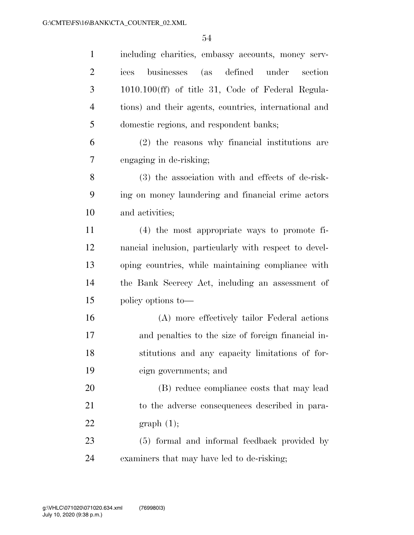| $\mathbf{1}$   | including charities, embassy accounts, money serv-     |
|----------------|--------------------------------------------------------|
| $\overline{2}$ | (as defined under<br>businesses<br>section<br>ices     |
| 3              | $1010.100$ (ff) of title 31, Code of Federal Regula-   |
| $\overline{4}$ | tions) and their agents, countries, international and  |
| 5              | domestic regions, and respondent banks;                |
| 6              | (2) the reasons why financial institutions are         |
| 7              | engaging in de-risking;                                |
| 8              | (3) the association with and effects of de-risk-       |
| 9              | ing on money laundering and financial crime actors     |
| 10             | and activities;                                        |
| 11             | $(4)$ the most appropriate ways to promote fi-         |
| 12             | nancial inclusion, particularly with respect to devel- |
| 13             | oping countries, while maintaining compliance with     |
| 14             | the Bank Secrecy Act, including an assessment of       |
| 15             | policy options to—                                     |
| 16             | (A) more effectively tailor Federal actions            |
| 17             | and penalties to the size of foreign financial in-     |
| 18             | stitutions and any capacity limitations of for-        |
| 19             | eign governments; and                                  |
| 20             | (B) reduce compliance costs that may lead              |
| 21             | to the adverse consequences described in para-         |
| 22             | graph(1);                                              |
| 23             | (5) formal and informal feedback provided by           |
| 24             | examiners that may have led to de-risking;             |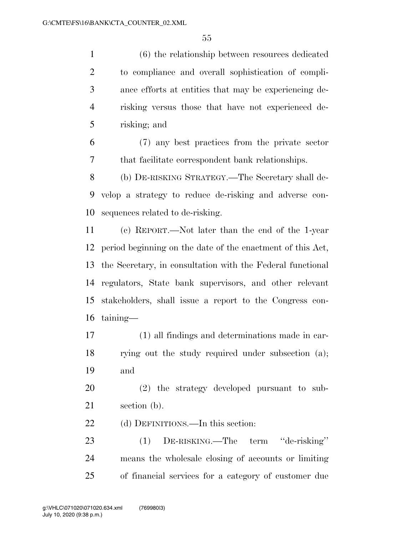(6) the relationship between resources dedicated to compliance and overall sophistication of compli- ance efforts at entities that may be experiencing de- risking versus those that have not experienced de-risking; and

 (7) any best practices from the private sector that facilitate correspondent bank relationships.

 (b) DE-RISKING STRATEGY.—The Secretary shall de- velop a strategy to reduce de-risking and adverse con-sequences related to de-risking.

 (c) REPORT.—Not later than the end of the 1-year period beginning on the date of the enactment of this Act, the Secretary, in consultation with the Federal functional regulators, State bank supervisors, and other relevant stakeholders, shall issue a report to the Congress con-taining—

 (1) all findings and determinations made in car- rying out the study required under subsection (a); and

 (2) the strategy developed pursuant to sub-section (b).

22 (d) DEFINITIONS.—In this section:

 (1) DE-RISKING.—The term ''de-risking'' means the wholesale closing of accounts or limiting of financial services for a category of customer due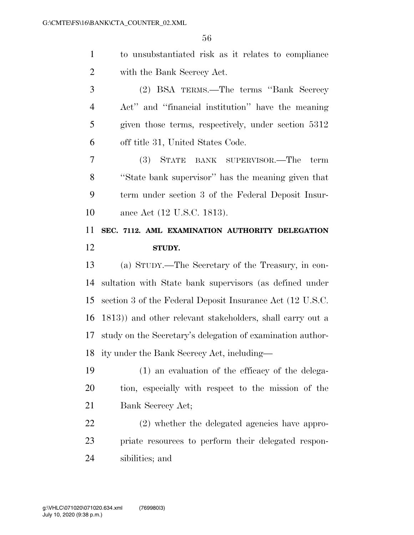| to unsubstantiated risk as it relates to compliance |
|-----------------------------------------------------|
| with the Bank Secrecy Act.                          |

 (2) BSA TERMS.—The terms ''Bank Secrecy Act'' and ''financial institution'' have the meaning given those terms, respectively, under section 5312 off title 31, United States Code.

 (3) STATE BANK SUPERVISOR.—The term ''State bank supervisor'' has the meaning given that term under section 3 of the Federal Deposit Insur-ance Act (12 U.S.C. 1813).

# **SEC. 7112. AML EXAMINATION AUTHORITY DELEGATION STUDY.**

 (a) STUDY.—The Secretary of the Treasury, in con- sultation with State bank supervisors (as defined under section 3 of the Federal Deposit Insurance Act (12 U.S.C. 1813)) and other relevant stakeholders, shall carry out a study on the Secretary's delegation of examination author-ity under the Bank Secrecy Act, including—

 (1) an evaluation of the efficacy of the delega- tion, especially with respect to the mission of the Bank Secrecy Act;

 (2) whether the delegated agencies have appro- priate resources to perform their delegated respon-sibilities; and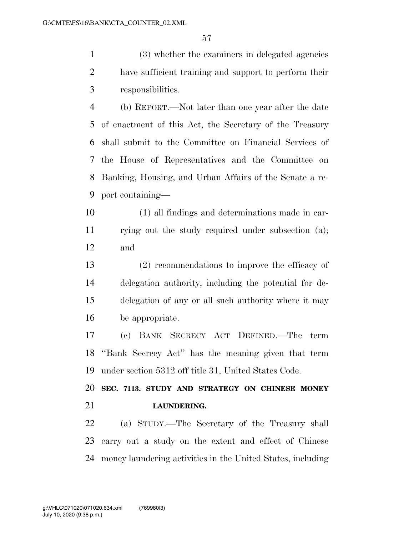(3) whether the examiners in delegated agencies have sufficient training and support to perform their responsibilities.

 (b) REPORT.—Not later than one year after the date of enactment of this Act, the Secretary of the Treasury shall submit to the Committee on Financial Services of the House of Representatives and the Committee on Banking, Housing, and Urban Affairs of the Senate a re-port containing—

 (1) all findings and determinations made in car- rying out the study required under subsection (a); and

 (2) recommendations to improve the efficacy of delegation authority, including the potential for de- delegation of any or all such authority where it may be appropriate.

 (c) BANK SECRECY ACT DEFINED.—The term ''Bank Secrecy Act'' has the meaning given that term under section 5312 off title 31, United States Code.

 **SEC. 7113. STUDY AND STRATEGY ON CHINESE MONEY LAUNDERING.** 

 (a) STUDY.—The Secretary of the Treasury shall carry out a study on the extent and effect of Chinese money laundering activities in the United States, including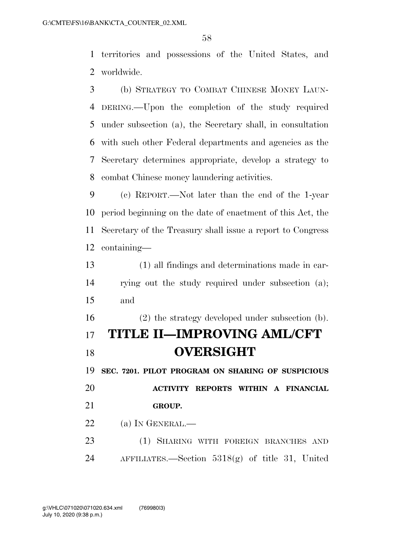territories and possessions of the United States, and worldwide.

 (b) STRATEGY TO COMBAT CHINESE MONEY LAUN- DERING.—Upon the completion of the study required under subsection (a), the Secretary shall, in consultation with such other Federal departments and agencies as the Secretary determines appropriate, develop a strategy to combat Chinese money laundering activities.

 (c) REPORT.—Not later than the end of the 1-year period beginning on the date of enactment of this Act, the Secretary of the Treasury shall issue a report to Congress containing—

 (1) all findings and determinations made in car- rying out the study required under subsection (a); and (2) the strategy developed under subsection (b). **TITLE II—IMPROVING AML/CFT OVERSIGHT SEC. 7201. PILOT PROGRAM ON SHARING OF SUSPICIOUS ACTIVITY REPORTS WITHIN A FINANCIAL** 

**GROUP.** 

22 (a) IN GENERAL.—

 (1) SHARING WITH FOREIGN BRANCHES AND AFFILIATES.—Section 5318(g) of title 31, United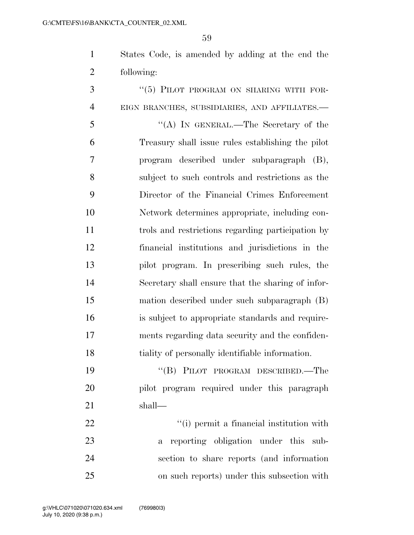States Code, is amended by adding at the end the following:

3 "(5) PILOT PROGRAM ON SHARING WITH FOR-EIGN BRANCHES, SUBSIDIARIES, AND AFFILIATES.—

 ''(A) IN GENERAL.—The Secretary of the Treasury shall issue rules establishing the pilot program described under subparagraph (B), subject to such controls and restrictions as the Director of the Financial Crimes Enforcement Network determines appropriate, including con- trols and restrictions regarding participation by financial institutions and jurisdictions in the pilot program. In prescribing such rules, the Secretary shall ensure that the sharing of infor- mation described under such subparagraph (B) is subject to appropriate standards and require- ments regarding data security and the confiden-tiality of personally identifiable information.

19 "(B) PILOT PROGRAM DESCRIBED.—The pilot program required under this paragraph shall—

 $\frac{1}{1}$   $\frac{1}{2}$   $\frac{1}{2}$   $\frac{1}{2}$   $\frac{1}{2}$   $\frac{1}{2}$   $\frac{1}{2}$   $\frac{1}{2}$   $\frac{1}{2}$   $\frac{1}{2}$   $\frac{1}{2}$   $\frac{1}{2}$   $\frac{1}{2}$   $\frac{1}{2}$   $\frac{1}{2}$   $\frac{1}{2}$   $\frac{1}{2}$   $\frac{1}{2}$   $\frac{1}{2}$   $\frac{1}{2}$   $\frac{1}{2}$   $\frac{1}{2}$  a reporting obligation under this sub- section to share reports (and information on such reports) under this subsection with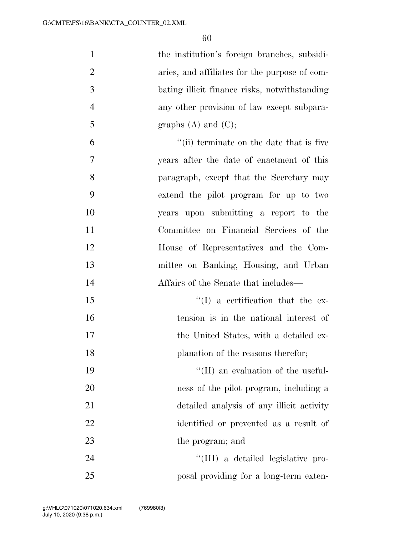| $\mathbf{1}$   | the institution's foreign branches, subsidi-  |
|----------------|-----------------------------------------------|
| $\overline{2}$ | aries, and affiliates for the purpose of com- |
| 3              | bating illicit finance risks, notwithstanding |
| $\overline{4}$ | any other provision of law except subpara-    |
| 5              | graphs $(A)$ and $(C)$ ;                      |
| 6              | "(ii) terminate on the date that is five      |
| 7              | years after the date of enactment of this     |
| 8              | paragraph, except that the Secretary may      |
| 9              | extend the pilot program for up to two        |
| 10             | years upon submitting a report to the         |
| 11             | Committee on Financial Services of the        |
| 12             | House of Representatives and the Com-         |
| 13             | mittee on Banking, Housing, and Urban         |
| 14             | Affairs of the Senate that includes—          |
| 15             | $\lq\lq$ a certification that the ex-         |
| 16             | tension is in the national interest of        |
| 17             | the United States, with a detailed ex-        |
| 18             | planation of the reasons therefor;            |
| 19             | $\lq\lq$ (II) an evaluation of the useful-    |
| 20             | ness of the pilot program, including a        |
| 21             | detailed analysis of any illicit activity     |
| 22             | identified or prevented as a result of        |
| 23             | the program; and                              |
| 24             | "(III) a detailed legislative pro-            |
| 25             | posal providing for a long-term exten-        |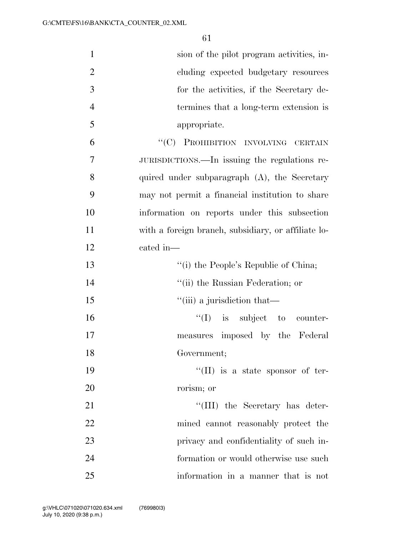| $\mathbf{1}$   | sion of the pilot program activities, in-           |
|----------------|-----------------------------------------------------|
| $\overline{2}$ | cluding expected budgetary resources                |
| 3              | for the activities, if the Secretary de-            |
| $\overline{4}$ | termines that a long-term extension is              |
| 5              | appropriate.                                        |
| 6              | "(C) PROHIBITION INVOLVING CERTAIN                  |
| $\overline{7}$ | JURISDICTIONS.—In issuing the regulations re-       |
| 8              | quired under subparagraph $(A)$ , the Secretary     |
| 9              | may not permit a financial institution to share     |
| 10             | information on reports under this subsection        |
| 11             | with a foreign branch, subsidiary, or affiliate lo- |
| 12             | cated in-                                           |
| 13             | "(i) the People's Republic of China;                |
| 14             | "(ii) the Russian Federation; or                    |
| 15             | "(iii) a jurisdiction that—                         |
| 16             | ``(I)<br>is subject to counter-                     |
| 17             | measures imposed by the Federal                     |
| 18             | Government;                                         |
| 19             | $\lq\lq$ (II) is a state sponsor of ter-            |
| 20             | rorism; or                                          |
| 21             | "(III) the Secretary has deter-                     |
| 22             | mined cannot reasonably protect the                 |
| 23             | privacy and confidentiality of such in-             |
| 24             | formation or would otherwise use such               |
| 25             | information in a manner that is not                 |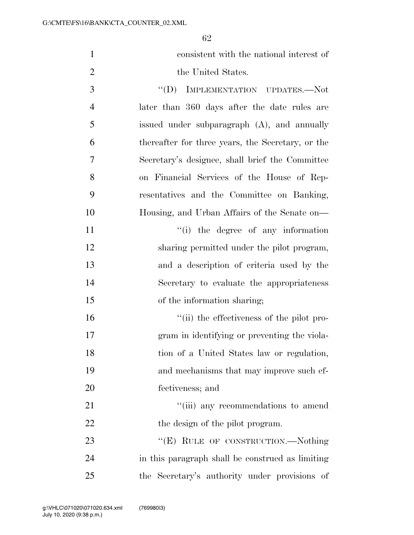| $\mathbf{1}$   | consistent with the national interest of          |
|----------------|---------------------------------------------------|
| $\overline{2}$ | the United States.                                |
| 3              | "(D) IMPLEMENTATION UPDATES.—Not                  |
| $\overline{4}$ | later than 360 days after the date rules are      |
| 5              | issued under subparagraph (A), and annually       |
| 6              | thereafter for three years, the Secretary, or the |
| 7              | Secretary's designee, shall brief the Committee   |
| 8              | on Financial Services of the House of Rep-        |
| 9              | resentatives and the Committee on Banking,        |
| 10             | Housing, and Urban Affairs of the Senate on-      |
| 11             | "(i) the degree of any information                |
| 12             | sharing permitted under the pilot program,        |
| 13             | and a description of criteria used by the         |
| 14             | Secretary to evaluate the appropriateness         |
| 15             | of the information sharing;                       |
| 16             | "(ii) the effectiveness of the pilot pro-         |
| 17             | gram in identifying or preventing the viola-      |
| 18             | tion of a United States law or regulation,        |
| 19             | and mechanisms that may improve such ef-          |
| 20             | fectiveness; and                                  |
| 21             | "(iii) any recommendations to amend               |
| 22             | the design of the pilot program.                  |
| 23             | "(E) RULE OF CONSTRUCTION.—Nothing                |
| 24             | in this paragraph shall be construed as limiting  |
| 25             | the Secretary's authority under provisions of     |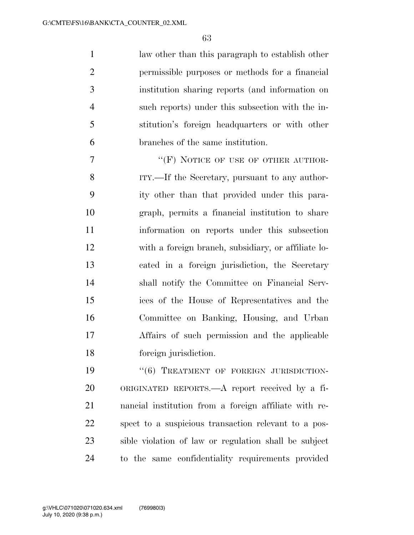law other than this paragraph to establish other permissible purposes or methods for a financial institution sharing reports (and information on such reports) under this subsection with the in- stitution's foreign headquarters or with other branches of the same institution.

7 "'(F) NOTICE OF USE OF OTHER AUTHOR- ITY.—If the Secretary, pursuant to any author- ity other than that provided under this para- graph, permits a financial institution to share information on reports under this subsection with a foreign branch, subsidiary, or affiliate lo- cated in a foreign jurisdiction, the Secretary shall notify the Committee on Financial Serv- ices of the House of Representatives and the Committee on Banking, Housing, and Urban Affairs of such permission and the applicable foreign jurisdiction.

19 "(6) TREATMENT OF FOREIGN JURISDICTION- ORIGINATED REPORTS.—A report received by a fi- nancial institution from a foreign affiliate with re- spect to a suspicious transaction relevant to a pos- sible violation of law or regulation shall be subject to the same confidentiality requirements provided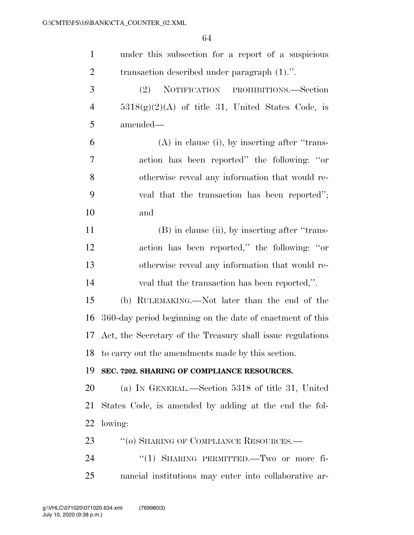| $\mathbf{1}$   | under this subsection for a report of a suspicious            |
|----------------|---------------------------------------------------------------|
| $\overline{2}$ | transaction described under paragraph (1).".                  |
| 3              | NOTIFICATION PROHIBITIONS.—Section<br>(2)                     |
| $\overline{4}$ | $5318(g)(2)(A)$ of title 31, United States Code, is           |
| 5              | amended—                                                      |
| 6              | $(A)$ in clause (i), by inserting after "trans-               |
| 7              | action has been reported" the following: "or                  |
| 8              | otherwise reveal any information that would re-               |
| 9              | veal that the transaction has been reported";                 |
| 10             | and                                                           |
| 11             | (B) in clause (ii), by inserting after "trans-                |
| 12             | action has been reported," the following: "or                 |
| 13             | otherwise reveal any information that would re-               |
| 14             | veal that the transaction has been reported,".                |
| 15             | (b) RULEMAKING.—Not later than the end of the                 |
| 16             | 360-day period beginning on the date of enactment of this     |
|                | 17 Act, the Secretary of the Treasury shall issue regulations |
|                | 18 to carry out the amendments made by this section.          |
| 19             | SEC. 7202. SHARING OF COMPLIANCE RESOURCES.                   |
| 20             | (a) IN GENERAL.—Section 5318 of title 31, United              |
| 21             | States Code, is amended by adding at the end the fol-         |
| 22             | lowing:                                                       |
| 23             | "(o) SHARING OF COMPLIANCE RESOURCES.-                        |
| 24             | "(1) SHARING PERMITTED.—Two or more fi-                       |
| 25             | nancial institutions may enter into collaborative ar-         |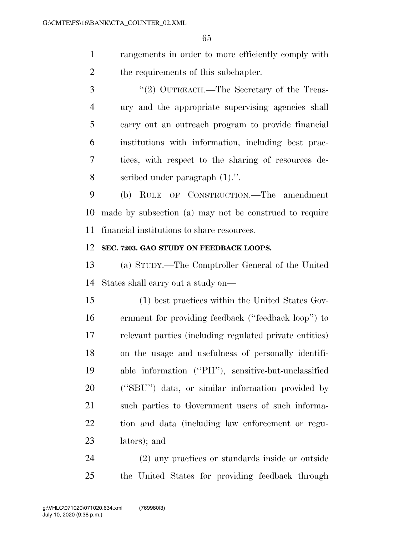- rangements in order to more efficiently comply with 2 the requirements of this subchapter.
- 3 "(2) OUTREACH.—The Secretary of the Treas- ury and the appropriate supervising agencies shall carry out an outreach program to provide financial institutions with information, including best prac- tices, with respect to the sharing of resources de-scribed under paragraph (1).''.

 (b) RULE OF CONSTRUCTION.—The amendment made by subsection (a) may not be construed to require financial institutions to share resources.

### **SEC. 7203. GAO STUDY ON FEEDBACK LOOPS.**

 (a) STUDY.—The Comptroller General of the United States shall carry out a study on—

 (1) best practices within the United States Gov- ernment for providing feedback (''feedback loop'') to relevant parties (including regulated private entities) on the usage and usefulness of personally identifi- able information (''PII''), sensitive-but-unclassified (''SBU'') data, or similar information provided by such parties to Government users of such informa- tion and data (including law enforcement or regu-lators); and

 (2) any practices or standards inside or outside the United States for providing feedback through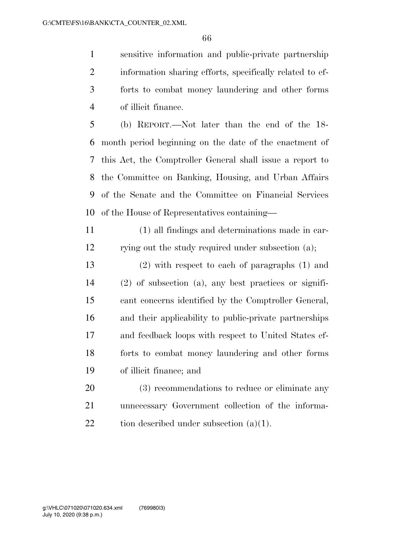sensitive information and public-private partnership information sharing efforts, specifically related to ef- forts to combat money laundering and other forms of illicit finance.

 (b) REPORT.—Not later than the end of the 18- month period beginning on the date of the enactment of this Act, the Comptroller General shall issue a report to the Committee on Banking, Housing, and Urban Affairs of the Senate and the Committee on Financial Services of the House of Representatives containing—

 (1) all findings and determinations made in car-rying out the study required under subsection (a);

 (2) with respect to each of paragraphs (1) and (2) of subsection (a), any best practices or signifi- cant concerns identified by the Comptroller General, and their applicability to public-private partnerships and feedback loops with respect to United States ef- forts to combat money laundering and other forms of illicit finance; and

 (3) recommendations to reduce or eliminate any unnecessary Government collection of the informa-22 tion described under subsection  $(a)(1)$ .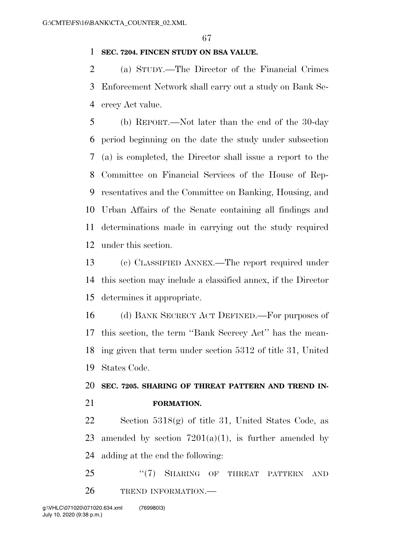### **SEC. 7204. FINCEN STUDY ON BSA VALUE.**

 (a) STUDY.—The Director of the Financial Crimes Enforcement Network shall carry out a study on Bank Se-crecy Act value.

 (b) REPORT.—Not later than the end of the 30-day period beginning on the date the study under subsection (a) is completed, the Director shall issue a report to the Committee on Financial Services of the House of Rep- resentatives and the Committee on Banking, Housing, and Urban Affairs of the Senate containing all findings and determinations made in carrying out the study required under this section.

 (c) CLASSIFIED ANNEX.—The report required under this section may include a classified annex, if the Director determines it appropriate.

 (d) BANK SECRECY ACT DEFINED.—For purposes of this section, the term ''Bank Secrecy Act'' has the mean- ing given that term under section 5312 of title 31, United States Code.

 **SEC. 7205. SHARING OF THREAT PATTERN AND TREND IN-FORMATION.** 

22 Section  $5318(g)$  of title 31, United States Code, as 23 amended by section  $7201(a)(1)$ , is further amended by adding at the end the following:

25 "(7) SHARING OF THREAT PATTERN AND 26 TREND INFORMATION.—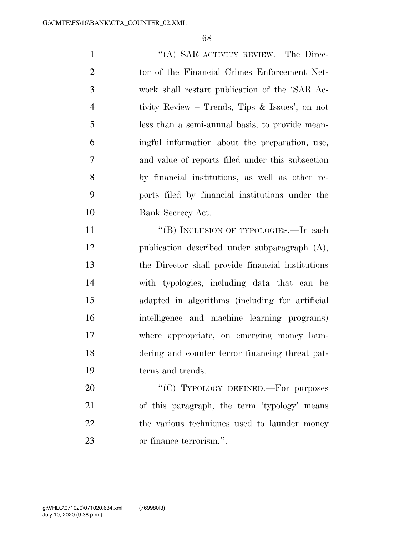1 "'(A) SAR ACTIVITY REVIEW.—The Direc- tor of the Financial Crimes Enforcement Net- work shall restart publication of the 'SAR Ac- tivity Review – Trends, Tips & Issues', on not less than a semi-annual basis, to provide mean- ingful information about the preparation, use, and value of reports filed under this subsection by financial institutions, as well as other re- ports filed by financial institutions under the Bank Secrecy Act.

11 ""(B) INCLUSION OF TYPOLOGIES.—In each publication described under subparagraph (A), the Director shall provide financial institutions with typologies, including data that can be adapted in algorithms (including for artificial intelligence and machine learning programs) where appropriate, on emerging money laun- dering and counter terror financing threat pat-terns and trends.

20 "'(C) TYPOLOGY DEFINED.—For purposes of this paragraph, the term 'typology' means 22 the various techniques used to launder money or finance terrorism.''.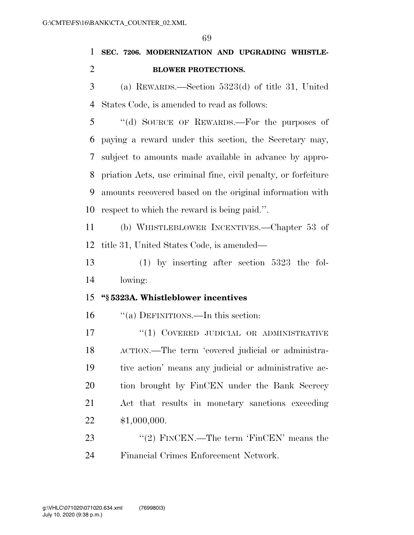# **SEC. 7206. MODERNIZATION AND UPGRADING WHISTLE-BLOWER PROTECTIONS.**

 (a) REWARDS.—Section 5323(d) of title 31, United States Code, is amended to read as follows:

 ''(d) SOURCE OF REWARDS.—For the purposes of paying a reward under this section, the Secretary may, subject to amounts made available in advance by appro- priation Acts, use criminal fine, civil penalty, or forfeiture amounts recovered based on the original information with respect to which the reward is being paid.''.

 (b) WHISTLEBLOWER INCENTIVES.—Chapter 53 of title 31, United States Code, is amended—

 (1) by inserting after section 5323 the fol-lowing:

# **''§ 5323A. Whistleblower incentives**

''(a) DEFINITIONS.—In this section:

17 "(1) COVERED JUDICIAL OR ADMINISTRATIVE ACTION.—The term 'covered judicial or administra- tive action' means any judicial or administrative ac- tion brought by FinCEN under the Bank Secrecy Act that results in monetary sanctions exceeding \$1,000,000.

23 "(2) FINCEN.—The term 'FinCEN' means the Financial Crimes Enforcement Network.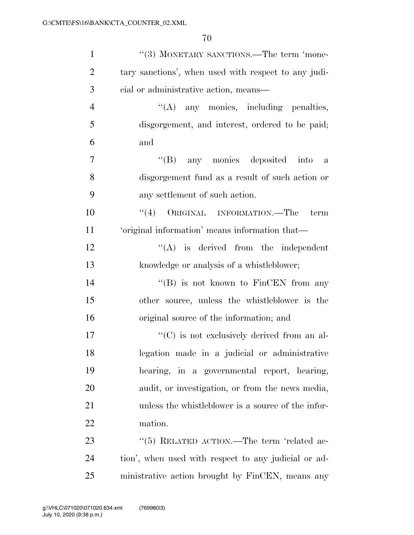| $\mathbf{1}$   | "(3) MONETARY SANCTIONS.—The term 'mone-                         |
|----------------|------------------------------------------------------------------|
| $\overline{2}$ | tary sanctions', when used with respect to any judi-             |
| 3              | cial or administrative action, means—                            |
| $\overline{4}$ | $\lq\lq$ any monies, including penalties,                        |
| 5              | disgorgement, and interest, ordered to be paid;                  |
| 6              | and                                                              |
| 7              | "(B) any monies deposited into<br>$\mathbf{a}$                   |
| 8              | disgorgement fund as a result of such action or                  |
| 9              | any settlement of such action.                                   |
| 10             | "(4) ORIGINAL INFORMATION.—The term                              |
| 11             | 'original information' means information that-                   |
| 12             | $\lq\lq$ is derived from the independent                         |
| 13             | knowledge or analysis of a whistleblower;                        |
| 14             | "(B) is not known to FinCEN from any                             |
| 15             | other source, unless the whistleblower is the                    |
| 16             | original source of the information; and                          |
| 17             | $\lq\lq$ <sup>"</sup> (C) is not exclusively derived from an al- |
| 18             | legation made in a judicial or administrative                    |
| 19             | hearing, in a governmental report, hearing,                      |
| 20             | audit, or investigation, or from the news media,                 |
| 21             | unless the whistleblower is a source of the infor-               |
| 22             | mation.                                                          |
| 23             | "(5) RELATED ACTION.—The term 'related ac-                       |
| 24             | tion', when used with respect to any judicial or ad-             |
| 25             | ministrative action brought by FinCEN, means any                 |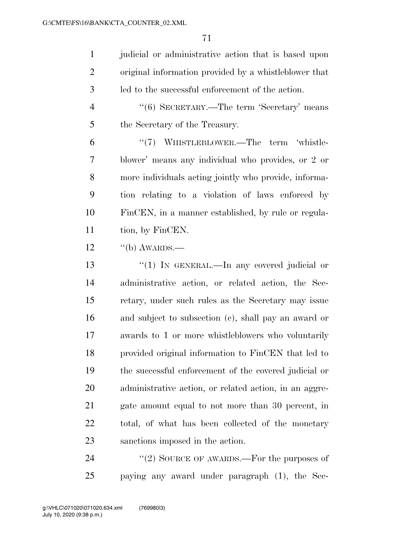1 judicial or administrative action that is based upon original information provided by a whistleblower that led to the successful enforcement of the action.

 ''(6) SECRETARY.—The term 'Secretary' means 5 the Secretary of the Treasury.

6 "(7) WHISTLEBLOWER.—The term 'whistle- blower' means any individual who provides, or 2 or more individuals acting jointly who provide, informa- tion relating to a violation of laws enforced by FinCEN, in a manner established, by rule or regula-11 tion, by FinCEN.

"(b) AWARDS.—

13 "(1) IN GENERAL.—In any covered judicial or administrative action, or related action, the Sec- retary, under such rules as the Secretary may issue and subject to subsection (c), shall pay an award or awards to 1 or more whistleblowers who voluntarily provided original information to FinCEN that led to the successful enforcement of the covered judicial or administrative action, or related action, in an aggre- gate amount equal to not more than 30 percent, in total, of what has been collected of the monetary sanctions imposed in the action.

24 "(2) SOURCE OF AWARDS.—For the purposes of paying any award under paragraph (1), the Sec-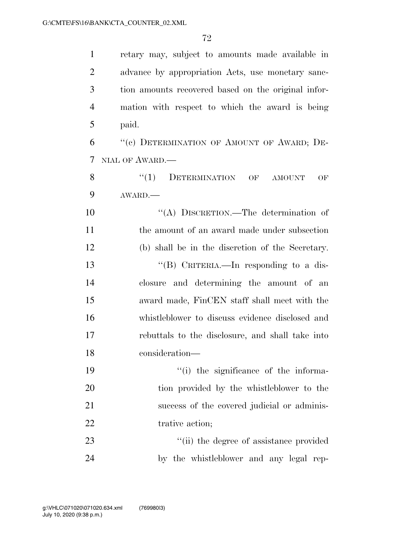| $\mathbf{1}$   | retary may, subject to amounts made available in    |
|----------------|-----------------------------------------------------|
| $\overline{2}$ | advance by appropriation Acts, use monetary sanc-   |
| 3              | tion amounts recovered based on the original infor- |
| $\overline{4}$ | mation with respect to which the award is being     |
| 5              | paid.                                               |
| 6              | "(c) DETERMINATION OF AMOUNT OF AWARD; DE-          |
| $\overline{7}$ | NIAL OF AWARD.                                      |
| 8              | DETERMINATION OF<br>``(1)<br><b>AMOUNT</b><br>OF    |
| 9              | AWARD.                                              |
| 10             | "(A) DISCRETION.—The determination of               |
| 11             | the amount of an award made under subsection        |
| 12             | (b) shall be in the discretion of the Secretary.    |
| 13             | "(B) CRITERIA.—In responding to a dis-              |
| 14             | closure and determining the amount of an            |
| 15             | award made, FinCEN staff shall meet with the        |
| 16             | whistleblower to discuss evidence disclosed and     |
| 17             | rebuttals to the disclosure, and shall take into    |
| 18             | consideration-                                      |
| 19             | "(i) the significance of the informa-               |
| 20             | tion provided by the whistleblower to the           |
| 21             | success of the covered judicial or adminis-         |
| 22             | trative action;                                     |
| 23             | "(ii) the degree of assistance provided             |
| 24             | by the whistleblower and any legal rep-             |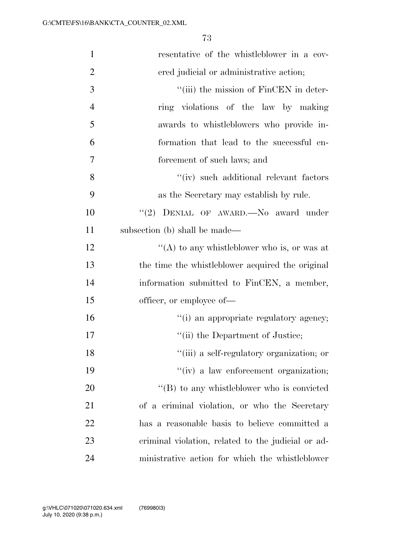| $\mathbf{1}$   | resentative of the whistleblower in a cov-         |
|----------------|----------------------------------------------------|
| $\overline{2}$ | ered judicial or administrative action;            |
| 3              | "(iii) the mission of FinCEN in deter-             |
| $\overline{4}$ | ring violations of the law by making               |
| 5              | awards to whistleblowers who provide in-           |
| 6              | formation that lead to the successful en-          |
| 7              | forcement of such laws; and                        |
| 8              | "(iv) such additional relevant factors             |
| 9              | as the Secretary may establish by rule.            |
| 10             | "(2) DENIAL OF AWARD. No award under               |
| 11             | subsection (b) shall be made—                      |
| 12             | "(A) to any whistleblower who is, or was at        |
| 13             | the time the whistleblower acquired the original   |
| 14             | information submitted to FinCEN, a member,         |
| 15             | officer, or employee of—                           |
| 16             | "(i) an appropriate regulatory agency;             |
| 17             | "(ii) the Department of Justice;                   |
| 18             | "(iii) a self-regulatory organization; or          |
| 19             | "(iv) a law enforcement organization;              |
| 20             | $\lq\lq (B)$ to any whistleblower who is convicted |
| 21             | of a criminal violation, or who the Secretary      |
| 22             | has a reasonable basis to believe committed a      |
| 23             | criminal violation, related to the judicial or ad- |
| 24             | ministrative action for which the whistleblower    |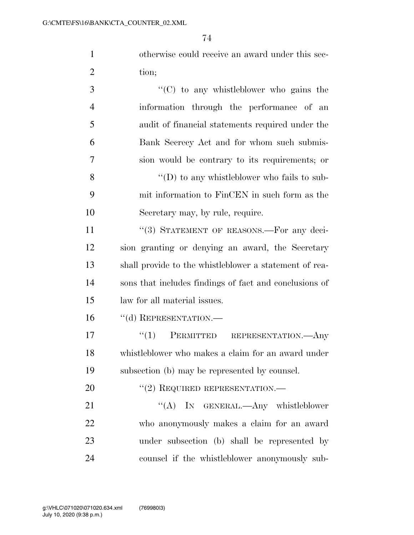otherwise could receive an award under this sec-2 tion;

 ''(C) to any whistleblower who gains the information through the performance of an audit of financial statements required under the Bank Secrecy Act and for whom such submis- sion would be contrary to its requirements; or ''(D) to any whistleblower who fails to sub- mit information to FinCEN in such form as the Secretary may, by rule, require. 11 "(3) STATEMENT OF REASONS.—For any deci- sion granting or denying an award, the Secretary shall provide to the whistleblower a statement of rea- sons that includes findings of fact and conclusions of law for all material issues. 16 "(d) REPRESENTATION.—  $(1)$  PERMITTED REPRESENTATION. Any whistleblower who makes a claim for an award under subsection (b) may be represented by counsel. 20 "(2) REQUIRED REPRESENTATION.— 21 "'(A) IN GENERAL.—Any whistleblower who anonymously makes a claim for an award under subsection (b) shall be represented by

counsel if the whistleblower anonymously sub-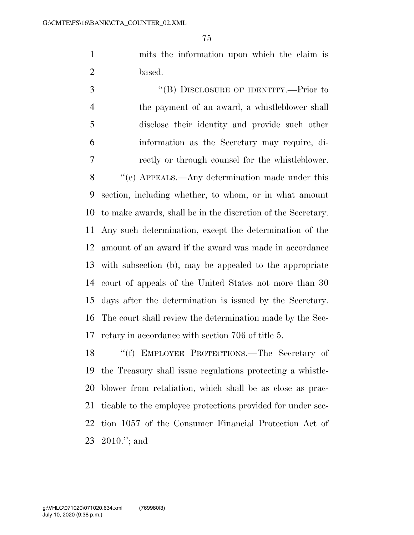mits the information upon which the claim is based.

 ''(B) DISCLOSURE OF IDENTITY.—Prior to the payment of an award, a whistleblower shall disclose their identity and provide such other information as the Secretary may require, di- rectly or through counsel for the whistleblower. ''(e) APPEALS.—Any determination made under this section, including whether, to whom, or in what amount to make awards, shall be in the discretion of the Secretary. Any such determination, except the determination of the amount of an award if the award was made in accordance with subsection (b), may be appealed to the appropriate court of appeals of the United States not more than 30 days after the determination is issued by the Secretary. The court shall review the determination made by the Sec-retary in accordance with section 706 of title 5.

 ''(f) EMPLOYEE PROTECTIONS.—The Secretary of the Treasury shall issue regulations protecting a whistle- blower from retaliation, which shall be as close as prac- ticable to the employee protections provided for under sec- tion 1057 of the Consumer Financial Protection Act of 2010.''; and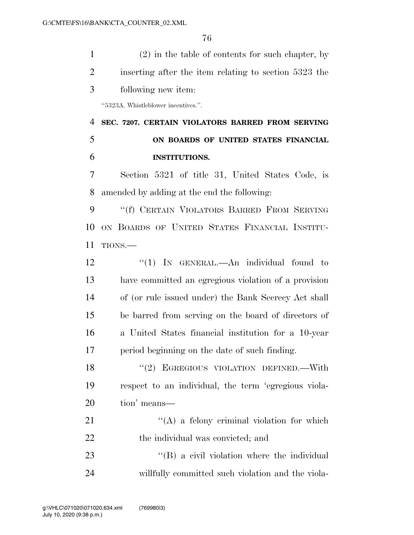| $\mathbf{1}$   | $(2)$ in the table of contents for such chapter, by   |
|----------------|-------------------------------------------------------|
| $\overline{2}$ | inserting after the item relating to section 5323 the |
| 3              | following new item:                                   |
|                | "5323A. Whistleblower incentives.".                   |
| $\overline{4}$ | SEC. 7207. CERTAIN VIOLATORS BARRED FROM SERVING      |
| 5              | ON BOARDS OF UNITED STATES FINANCIAL                  |
| 6              | <b>INSTITUTIONS.</b>                                  |
| 7              | Section 5321 of title 31, United States Code, is      |
| 8              | amended by adding at the end the following:           |
| 9              | "(f) CERTAIN VIOLATORS BARRED FROM SERVING            |
| 10             | ON BOARDS OF UNITED STATES FINANCIAL INSTITU-         |
| 11             | TIONS.                                                |
| 12             | "(1) IN GENERAL.—An individual found to               |
| 13             | have committed an egregious violation of a provision  |
| 14             | of (or rule issued under) the Bank Secrecy Act shall  |
| 15             | be barred from serving on the board of directors of   |
| 16             | a United States financial institution for a 10-year   |
| 17             | period beginning on the date of such finding.         |
| 18             | "(2) EGREGIOUS VIOLATION DEFINED. With                |
| 19             | respect to an individual, the term 'egregious viola-  |
| 20             | tion' means—                                          |
| 21             | $\lq\lq$ (A) a felony criminal violation for which    |
| 22             | the individual was convicted; and                     |
| 23             | $\lq\lq$ (B) a civil violation where the individual   |
| 24             | willfully committed such violation and the viola-     |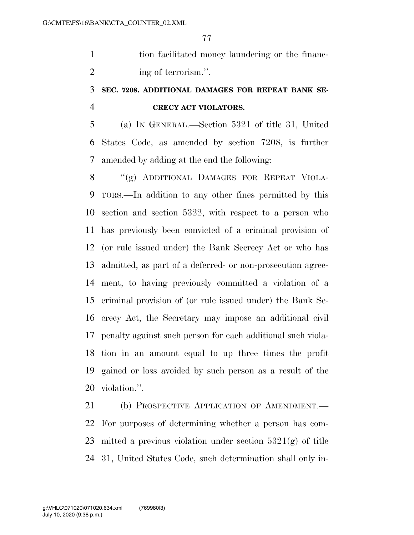tion facilitated money laundering or the financ-2 ing of terrorism.".

## **SEC. 7208. ADDITIONAL DAMAGES FOR REPEAT BANK SE-CRECY ACT VIOLATORS.**

 (a) IN GENERAL.—Section 5321 of title 31, United States Code, as amended by section 7208, is further amended by adding at the end the following:

8 "(g) ADDITIONAL DAMAGES FOR REPEAT VIOLA- TORS.—In addition to any other fines permitted by this section and section 5322, with respect to a person who has previously been convicted of a criminal provision of (or rule issued under) the Bank Secrecy Act or who has admitted, as part of a deferred- or non-prosecution agree- ment, to having previously committed a violation of a criminal provision of (or rule issued under) the Bank Se- crecy Act, the Secretary may impose an additional civil penalty against such person for each additional such viola- tion in an amount equal to up three times the profit gained or loss avoided by such person as a result of the violation.''.

21 (b) PROSPECTIVE APPLICATION OF AMENDMENT. For purposes of determining whether a person has com- mitted a previous violation under section 5321(g) of title 31, United States Code, such determination shall only in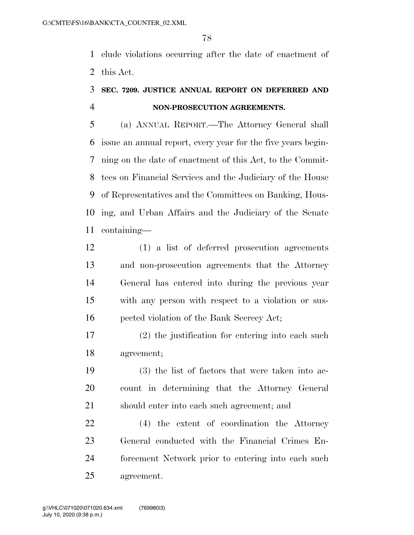clude violations occurring after the date of enactment of this Act.

### **SEC. 7209. JUSTICE ANNUAL REPORT ON DEFERRED AND NON-PROSECUTION AGREEMENTS.**

 (a) ANNUAL REPORT.—The Attorney General shall issue an annual report, every year for the five years begin- ning on the date of enactment of this Act, to the Commit- tees on Financial Services and the Judiciary of the House of Representatives and the Committees on Banking, Hous- ing, and Urban Affairs and the Judiciary of the Senate containing—

 (1) a list of deferred prosecution agreements and non-prosecution agreements that the Attorney General has entered into during the previous year with any person with respect to a violation or sus-pected violation of the Bank Secrecy Act;

 (2) the justification for entering into each such agreement;

 (3) the list of factors that were taken into ac- count in determining that the Attorney General should enter into each such agreement; and

 (4) the extent of coordination the Attorney General conducted with the Financial Crimes En- forcement Network prior to entering into each such agreement.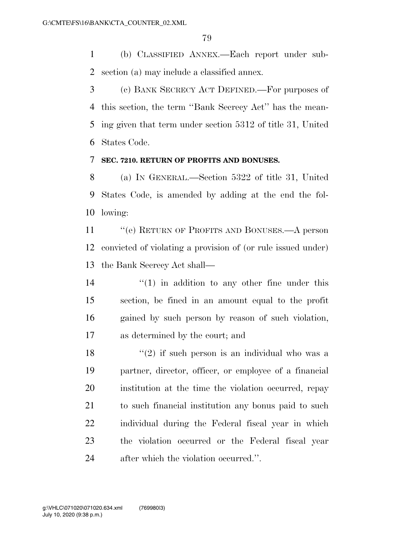(b) CLASSIFIED ANNEX.—Each report under sub-section (a) may include a classified annex.

 (c) BANK SECRECY ACT DEFINED.—For purposes of this section, the term ''Bank Secrecy Act'' has the mean- ing given that term under section 5312 of title 31, United States Code.

#### **SEC. 7210. RETURN OF PROFITS AND BONUSES.**

 (a) IN GENERAL.—Section 5322 of title 31, United States Code, is amended by adding at the end the fol-lowing:

 ''(e) RETURN OF PROFITS AND BONUSES.—A person convicted of violating a provision of (or rule issued under) the Bank Secrecy Act shall—

14 ''(1) in addition to any other fine under this section, be fined in an amount equal to the profit gained by such person by reason of such violation, as determined by the court; and

 $(2)$  if such person is an individual who was a partner, director, officer, or employee of a financial institution at the time the violation occurred, repay to such financial institution any bonus paid to such individual during the Federal fiscal year in which the violation occurred or the Federal fiscal year after which the violation occurred.''.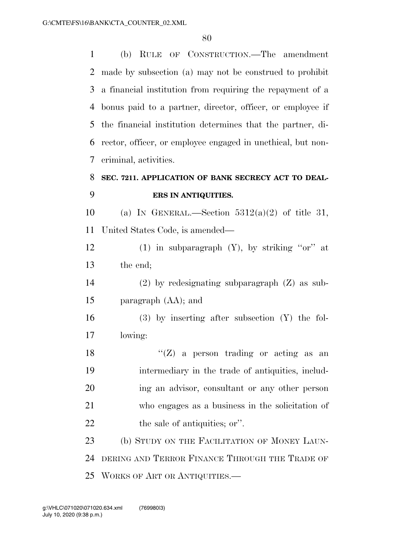(b) RULE OF CONSTRUCTION.—The amendment made by subsection (a) may not be construed to prohibit a financial institution from requiring the repayment of a bonus paid to a partner, director, officer, or employee if the financial institution determines that the partner, di- rector, officer, or employee engaged in unethical, but non-criminal, activities.

## **SEC. 7211. APPLICATION OF BANK SECRECY ACT TO DEAL-ERS IN ANTIQUITIES.**

10 (a) IN GENERAL.—Section  $5312(a)(2)$  of title 31, United States Code, is amended—

12 (1) in subparagraph  $(Y)$ , by striking "or" at the end;

 (2) by redesignating subparagraph (Z) as sub-paragraph (AA); and

 (3) by inserting after subsection (Y) the fol-lowing:

 $"$ (Z) a person trading or acting as an intermediary in the trade of antiquities, includ- ing an advisor, consultant or any other person who engages as a business in the solicitation of 22 the sale of antiquities; or".

23 (b) STUDY ON THE FACILITATION OF MONEY LAUN- DERING AND TERROR FINANCE THROUGH THE TRADE OF WORKS OF ART OR ANTIQUITIES.—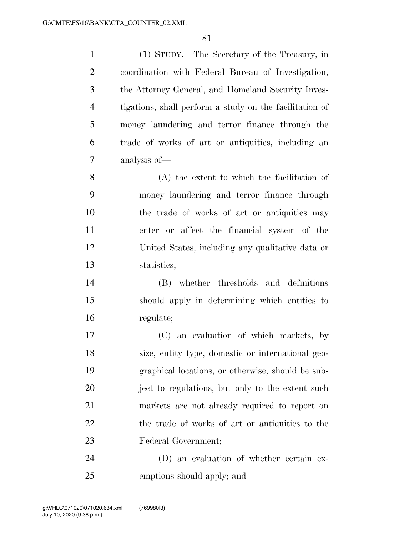(1) STUDY.—The Secretary of the Treasury, in coordination with Federal Bureau of Investigation, the Attorney General, and Homeland Security Inves- tigations, shall perform a study on the facilitation of money laundering and terror finance through the trade of works of art or antiquities, including an analysis of—

 (A) the extent to which the facilitation of money laundering and terror finance through the trade of works of art or antiquities may enter or affect the financial system of the United States, including any qualitative data or statistics;

 (B) whether thresholds and definitions should apply in determining which entities to regulate;

 (C) an evaluation of which markets, by size, entity type, domestic or international geo- graphical locations, or otherwise, should be sub-20 ject to regulations, but only to the extent such markets are not already required to report on the trade of works of art or antiquities to the Federal Government;

 (D) an evaluation of whether certain ex-emptions should apply; and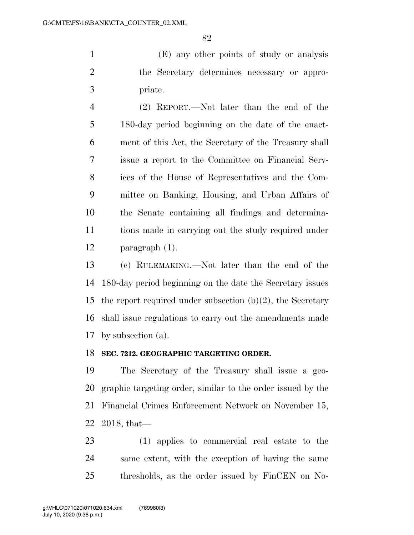(E) any other points of study or analysis the Secretary determines necessary or appro-priate.

 (2) REPORT.—Not later than the end of the 180-day period beginning on the date of the enact- ment of this Act, the Secretary of the Treasury shall issue a report to the Committee on Financial Serv- ices of the House of Representatives and the Com- mittee on Banking, Housing, and Urban Affairs of the Senate containing all findings and determina- tions made in carrying out the study required under paragraph (1).

 (c) RULEMAKING.—Not later than the end of the 180-day period beginning on the date the Secretary issues the report required under subsection (b)(2), the Secretary shall issue regulations to carry out the amendments made by subsection (a).

#### **SEC. 7212. GEOGRAPHIC TARGETING ORDER.**

 The Secretary of the Treasury shall issue a geo- graphic targeting order, similar to the order issued by the Financial Crimes Enforcement Network on November 15, 2018, that—

 (1) applies to commercial real estate to the same extent, with the exception of having the same thresholds, as the order issued by FinCEN on No-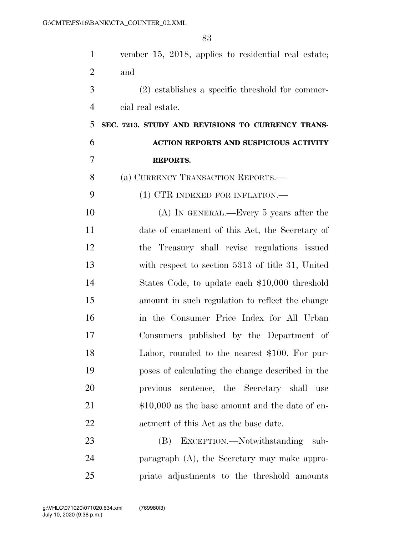| 1              | vember 15, 2018, applies to residential real estate; |
|----------------|------------------------------------------------------|
| $\overline{2}$ | and                                                  |
| 3              | $(2)$ establishes a specific threshold for commer-   |
| $\overline{4}$ | cial real estate.                                    |
| 5              | SEC. 7213. STUDY AND REVISIONS TO CURRENCY TRANS-    |
| 6              | <b>ACTION REPORTS AND SUSPICIOUS ACTIVITY</b>        |
| 7              | <b>REPORTS.</b>                                      |
| 8              | (a) CURRENCY TRANSACTION REPORTS.—                   |
| 9              | (1) CTR INDEXED FOR INFLATION.—                      |
| 10             | $(A)$ In GENERAL.—Every 5 years after the            |
| 11             | date of enactment of this Act, the Secretary of      |
| 12             | the Treasury shall revise regulations issued         |
| 13             | with respect to section 5313 of title 31, United     |
| 14             | States Code, to update each \$10,000 threshold       |
| 15             | amount in such regulation to reflect the change      |
| 16             | in the Consumer Price Index for All Urban            |
| 17             | Consumers published by the Department of             |
| 18             | Labor, rounded to the nearest \$100. For pur-        |
| 19             | poses of calculating the change described in the     |
| 20             | sentence, the Secretary shall<br>previous<br>use     |
| 21             | $$10,000$ as the base amount and the date of en-     |
| 22             | actment of this Act as the base date.                |
| 23             | EXCEPTION.—Notwithstanding<br>(B)<br>sub-            |
| 24             | paragraph (A), the Secretary may make appro-         |
| 25             | priate adjustments to the threshold amounts          |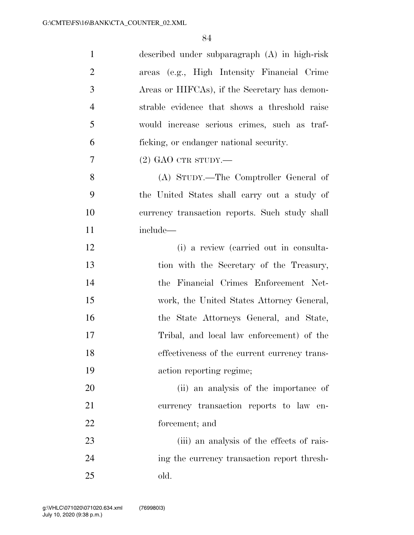| $\mathbf{1}$   | described under subparagraph $(A)$ in high-risk |
|----------------|-------------------------------------------------|
| $\overline{2}$ | areas (e.g., High Intensity Financial Crime     |
| 3              | Areas or HIFCAs), if the Secretary has demon-   |
| $\overline{4}$ | strable evidence that shows a threshold raise   |
| 5              | would increase serious crimes, such as traf-    |
| 6              | ficking, or endanger national security.         |
| 7              | $(2)$ GAO CTR STUDY.—                           |
| 8              | (A) STUDY.—The Comptroller General of           |
| 9              | the United States shall carry out a study of    |
| 10             | currency transaction reports. Such study shall  |
| 11             | include—                                        |
| 12             | (i) a review (carried out in consulta-          |
| 13             | tion with the Secretary of the Treasury,        |
| 14             | the Financial Crimes Enforcement Net-           |
| 15             | work, the United States Attorney General,       |
| 16             | the State Attorneys General, and State,         |
| 17             | Tribal, and local law enforcement) of the       |
| 18             | effectiveness of the current currency trans-    |
| 19             | action reporting regime;                        |
| 20             | (ii) an analysis of the importance of           |
| 21             | currency transaction reports to law en-         |
| 22             | forcement; and                                  |
| 23             | (iii) an analysis of the effects of rais-       |
| 24             | ing the currency transaction report thresh-     |
| 25             | old.                                            |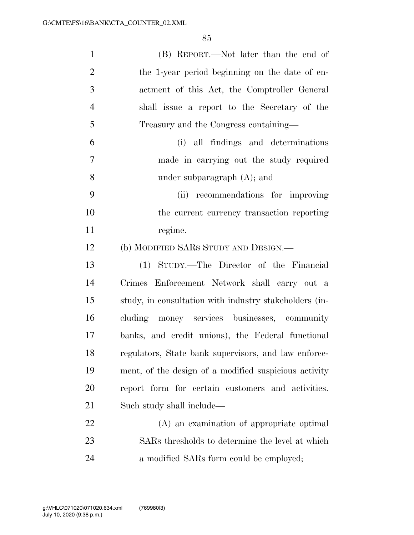| $\mathbf{1}$   | (B) REPORT.—Not later than the end of                  |
|----------------|--------------------------------------------------------|
| $\overline{2}$ | the 1-year period beginning on the date of en-         |
| 3              | actment of this Act, the Comptroller General           |
| $\overline{4}$ | shall issue a report to the Secretary of the           |
| 5              | Treasury and the Congress containing—                  |
| 6              | (i) all findings and determinations                    |
| $\overline{7}$ | made in carrying out the study required                |
| 8              | under subparagraph $(A)$ ; and                         |
| 9              | (ii) recommendations for improving                     |
| 10             | the current currency transaction reporting             |
| 11             | regime.                                                |
| 12             | (b) MODIFIED SARS STUDY AND DESIGN.—                   |
| 13             | (1) STUDY.—The Director of the Financial               |
| 14             | Crimes Enforcement Network shall carry out a           |
| 15             | study, in consultation with industry stakeholders (in- |
| 16             | cluding money services businesses, community           |
| 17             | banks, and credit unions), the Federal functional      |
| 18             | regulators, State bank supervisors, and law enforce-   |
| 19             | ment, of the design of a modified suspicious activity  |
| 20             | report form for certain customers and activities.      |
| 21             | Such study shall include—                              |
| 22             | (A) an examination of appropriate optimal              |
| 23             | SARs thresholds to determine the level at which        |
| 24             | a modified SARs form could be employed;                |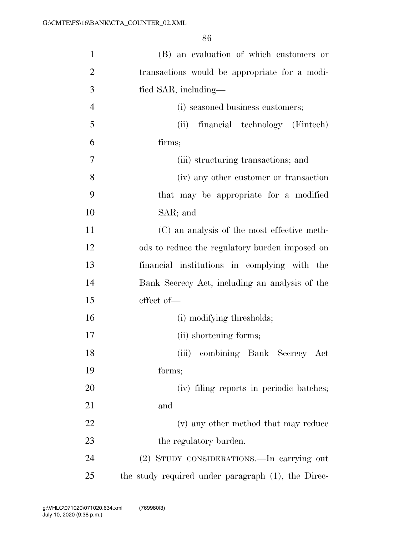| $\mathbf{1}$   | (B) an evaluation of which customers or            |
|----------------|----------------------------------------------------|
| $\overline{2}$ | transactions would be appropriate for a modi-      |
| 3              | fied SAR, including—                               |
| $\overline{4}$ | (i) seasoned business customers;                   |
| 5              | financial technology (Fintech)<br>(ii)             |
| 6              | firms;                                             |
| 7              | (iii) structuring transactions; and                |
| 8              | (iv) any other customer or transaction             |
| 9              | that may be appropriate for a modified             |
| 10             | SAR; and                                           |
| 11             | (C) an analysis of the most effective meth-        |
| 12             | ods to reduce the regulatory burden imposed on     |
| 13             | financial institutions in complying with the       |
| 14             | Bank Secrecy Act, including an analysis of the     |
| 15             | effect of-                                         |
| 16             | (i) modifying thresholds;                          |
| 17             | (ii) shortening forms;                             |
| 18             | (iii) combining Bank Secrecy Act                   |
| 19             | forms;                                             |
| 20             | (iv) filing reports in periodic batches;           |
| 21             | and                                                |
| 22             | (v) any other method that may reduce               |
| 23             | the regulatory burden.                             |
| 24             | (2) STUDY CONSIDERATIONS.—In carrying out          |
| 25             | the study required under paragraph (1), the Direc- |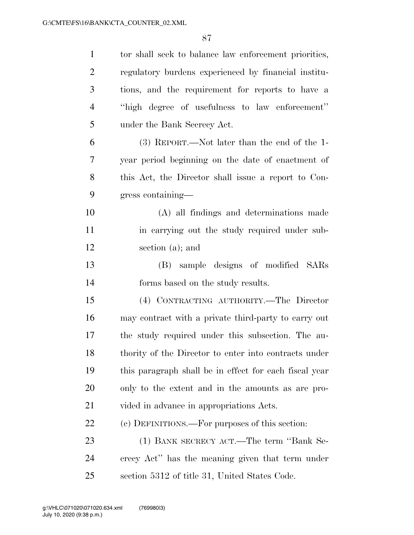| $\mathbf{1}$   | tor shall seek to balance law enforcement priorities,  |
|----------------|--------------------------------------------------------|
| $\overline{2}$ | regulatory burdens experienced by financial institu-   |
| 3              | tions, and the requirement for reports to have a       |
| $\overline{4}$ | "high degree of usefulness to law enforcement"         |
| 5              | under the Bank Secrecy Act.                            |
| 6              | (3) REPORT.—Not later than the end of the 1-           |
| 7              | year period beginning on the date of enactment of      |
| 8              | this Act, the Director shall issue a report to Con-    |
| 9              | gress containing—                                      |
| 10             | (A) all findings and determinations made               |
| 11             | in carrying out the study required under sub-          |
| 12             | section $(a)$ ; and                                    |
| 13             | (B) sample designs of modified SARs                    |
| 14             | forms based on the study results.                      |
| 15             | (4) CONTRACTING AUTHORITY.—The Director                |
| 16             | may contract with a private third-party to carry out   |
| 17             | the study required under this subsection. The au-      |
| 18             | thority of the Director to enter into contracts under  |
| 19             | this paragraph shall be in effect for each fiscal year |
| 20             | only to the extent and in the amounts as are pro-      |
| 21             | vided in advance in appropriations Acts.               |
| 22             | (c) DEFINITIONS.—For purposes of this section:         |
| 23             | (1) BANK SECRECY ACT.—The term "Bank Se-               |
| 24             | crecy Act" has the meaning given that term under       |
| 25             | section 5312 of title 31, United States Code.          |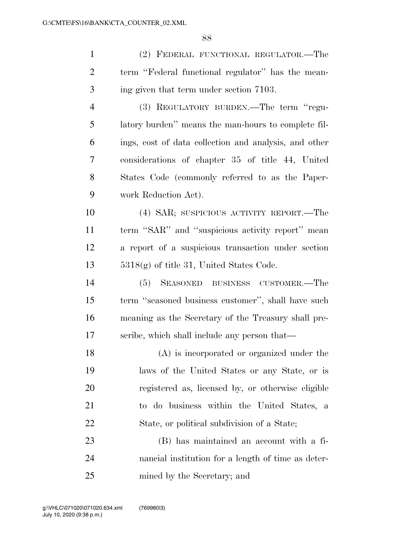| $\mathbf{1}$   | (2) FEDERAL FUNCTIONAL REGULATOR.—The                 |
|----------------|-------------------------------------------------------|
| $\overline{2}$ | term "Federal functional regulator" has the mean-     |
| 3              | ing given that term under section 7103.               |
| 4              | (3) REGULATORY BURDEN.—The term "regu-                |
| 5              | latory burden" means the man-hours to complete fil-   |
| 6              | ings, cost of data collection and analysis, and other |
| 7              | considerations of chapter 35 of title 44, United      |
| 8              | States Code (commonly referred to as the Paper-       |
| 9              | work Reduction Act.                                   |
| 10             | (4) SAR; SUSPICIOUS ACTIVITY REPORT.—The              |
| 11             | term "SAR" and "suspicious activity report" mean      |
| 12             | a report of a suspicious transaction under section    |
| 13             | $5318(g)$ of title 31, United States Code.            |
| 14             | (5) SEASONED BUSINESS CUSTOMER.—The                   |
| 15             | term "seasoned business customer", shall have such    |
| 16             | meaning as the Secretary of the Treasury shall pre-   |
| 17             | scribe, which shall include any person that—          |
| 18             | (A) is incorporated or organized under the            |
| 19             | laws of the United States or any State, or is         |
| 20             | registered as, licensed by, or otherwise eligible     |
| 21             | to do business within the United States, a            |
| 22             | State, or political subdivision of a State;           |
| 23             | (B) has maintained an account with a fi-              |
| 24             | nancial institution for a length of time as deter-    |
| 25             | mined by the Secretary; and                           |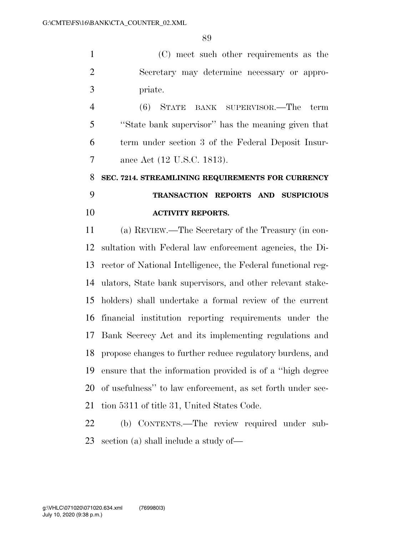(C) meet such other requirements as the Secretary may determine necessary or appro-priate.

 (6) STATE BANK SUPERVISOR.—The term ''State bank supervisor'' has the meaning given that term under section 3 of the Federal Deposit Insur-ance Act (12 U.S.C. 1813).

# **SEC. 7214. STREAMLINING REQUIREMENTS FOR CURRENCY TRANSACTION REPORTS AND SUSPICIOUS ACTIVITY REPORTS.**

 (a) REVIEW.—The Secretary of the Treasury (in con- sultation with Federal law enforcement agencies, the Di- rector of National Intelligence, the Federal functional reg- ulators, State bank supervisors, and other relevant stake- holders) shall undertake a formal review of the current financial institution reporting requirements under the Bank Secrecy Act and its implementing regulations and propose changes to further reduce regulatory burdens, and ensure that the information provided is of a ''high degree of usefulness'' to law enforcement, as set forth under sec-tion 5311 of title 31, United States Code.

 (b) CONTENTS.—The review required under sub-section (a) shall include a study of—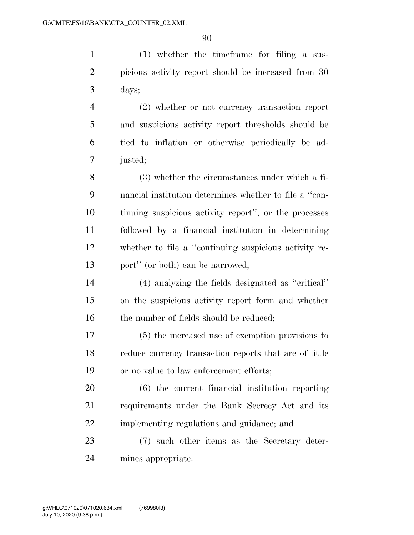(1) whether the timeframe for filing a sus- picious activity report should be increased from 30 days;

 (2) whether or not currency transaction report and suspicious activity report thresholds should be tied to inflation or otherwise periodically be ad-justed;

 (3) whether the circumstances under which a fi- nancial institution determines whether to file a ''con- tinuing suspicious activity report'', or the processes followed by a financial institution in determining whether to file a ''continuing suspicious activity re-port'' (or both) can be narrowed;

 (4) analyzing the fields designated as ''critical'' on the suspicious activity report form and whether 16 the number of fields should be reduced;

 (5) the increased use of exemption provisions to reduce currency transaction reports that are of little or no value to law enforcement efforts;

 (6) the current financial institution reporting requirements under the Bank Secrecy Act and its implementing regulations and guidance; and

 (7) such other items as the Secretary deter-mines appropriate.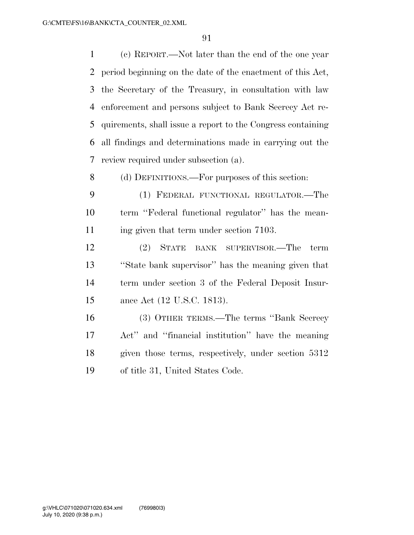(c) REPORT.—Not later than the end of the one year period beginning on the date of the enactment of this Act, the Secretary of the Treasury, in consultation with law enforcement and persons subject to Bank Secrecy Act re- quirements, shall issue a report to the Congress containing all findings and determinations made in carrying out the review required under subsection (a).

(d) DEFINITIONS.—For purposes of this section:

 (1) FEDERAL FUNCTIONAL REGULATOR.—The term ''Federal functional regulator'' has the mean-11 ing given that term under section 7103.

 (2) STATE BANK SUPERVISOR.—The term ''State bank supervisor'' has the meaning given that term under section 3 of the Federal Deposit Insur-ance Act (12 U.S.C. 1813).

 (3) OTHER TERMS.—The terms ''Bank Secrecy Act'' and ''financial institution'' have the meaning given those terms, respectively, under section 5312 of title 31, United States Code.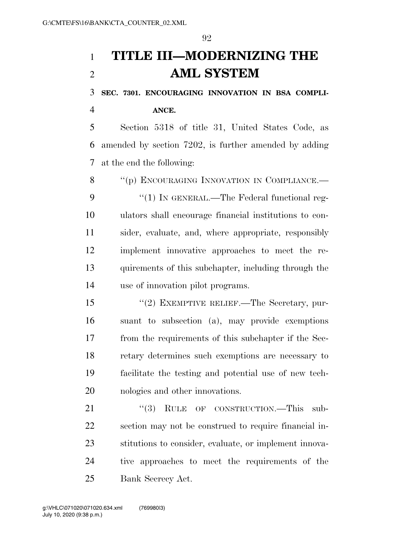# **TITLE III—MODERNIZING THE AML SYSTEM**

**SEC. 7301. ENCOURAGING INNOVATION IN BSA COMPLI-**

**ANCE.** 

 Section 5318 of title 31, United States Code, as amended by section 7202, is further amended by adding at the end the following:

8 "(p) ENCOURAGING INNOVATION IN COMPLIANCE.— 9 "(1) IN GENERAL.—The Federal functional reg- ulators shall encourage financial institutions to con- sider, evaluate, and, where appropriate, responsibly implement innovative approaches to meet the re- quirements of this subchapter, including through the use of innovation pilot programs.

 ''(2) EXEMPTIVE RELIEF.—The Secretary, pur- suant to subsection (a), may provide exemptions from the requirements of this subchapter if the Sec- retary determines such exemptions are necessary to facilitate the testing and potential use of new tech-nologies and other innovations.

21 "(3) RULE OF CONSTRUCTION.—This sub- section may not be construed to require financial in- stitutions to consider, evaluate, or implement innova- tive approaches to meet the requirements of the Bank Secrecy Act.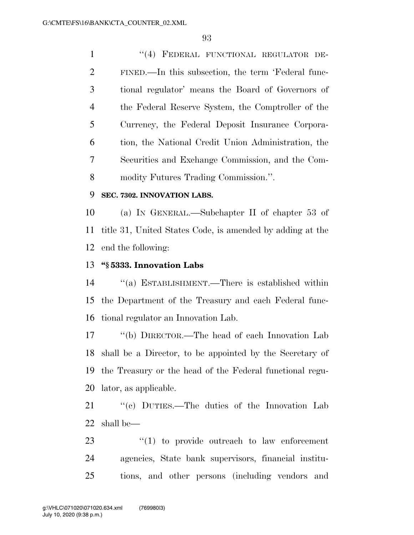1 "(4) FEDERAL FUNCTIONAL REGULATOR DE- FINED.—In this subsection, the term 'Federal func- tional regulator' means the Board of Governors of the Federal Reserve System, the Comptroller of the Currency, the Federal Deposit Insurance Corpora- tion, the National Credit Union Administration, the Securities and Exchange Commission, and the Com-modity Futures Trading Commission.''.

#### **SEC. 7302. INNOVATION LABS.**

 (a) IN GENERAL.—Subchapter II of chapter 53 of title 31, United States Code, is amended by adding at the end the following:

#### **''§ 5333. Innovation Labs**

 ''(a) ESTABLISHMENT.—There is established within the Department of the Treasury and each Federal func-tional regulator an Innovation Lab.

 ''(b) DIRECTOR.—The head of each Innovation Lab shall be a Director, to be appointed by the Secretary of the Treasury or the head of the Federal functional regu-lator, as applicable.

21 "(c) DUTIES.—The duties of the Innovation Lab shall be—

23  $\frac{1}{2}$  (1) to provide outreach to law enforcement agencies, State bank supervisors, financial institu-tions, and other persons (including vendors and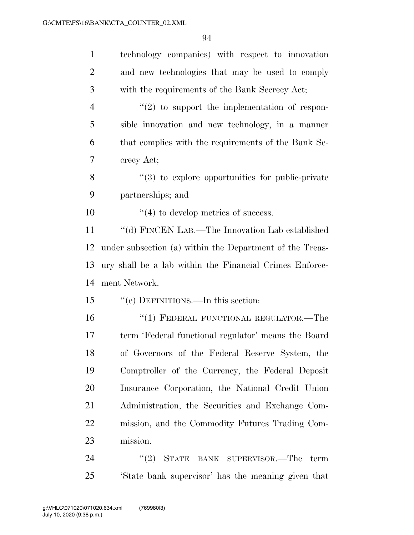| $\mathbf{1}$   | technology companies) with respect to innovation                 |
|----------------|------------------------------------------------------------------|
| $\overline{2}$ | and new technologies that may be used to comply                  |
| 3              | with the requirements of the Bank Secrecy Act;                   |
| $\overline{4}$ | $\lq(2)$ to support the implementation of respon-                |
| 5              | sible innovation and new technology, in a manner                 |
| 6              | that complies with the requirements of the Bank Se-              |
| 7              | crecy Act;                                                       |
| 8              | $\cdot\cdot\cdot(3)$ to explore opportunities for public-private |
| 9              | partnerships; and                                                |
| 10             | $\cdot$ (4) to develop metrics of success.                       |
| 11             | "(d) FINCEN LAB.—The Innovation Lab established                  |
| 12             | under subsection (a) within the Department of the Treas-         |
| 13             | ury shall be a lab within the Financial Crimes Enforce-          |
| 14             | ment Network.                                                    |
| 15             | "(e) DEFINITIONS.—In this section:                               |
| 16             | "(1) FEDERAL FUNCTIONAL REGULATOR.—The                           |
| 17             | term 'Federal functional regulator' means the Board              |
| 18             | of Governors of the Federal Reserve System, the                  |
| 19             | Comptroller of the Currency, the Federal Deposit                 |
| 20             | Insurance Corporation, the National Credit Union                 |
| 21             | Administration, the Securities and Exchange Com-                 |
| 22             | mission, and the Commodity Futures Trading Com-                  |
| 23             | mission.                                                         |
|                |                                                                  |

'State bank supervisor' has the meaning given that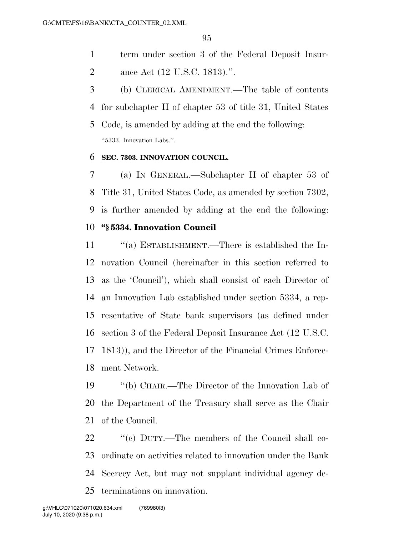- term under section 3 of the Federal Deposit Insur-
- ance Act (12 U.S.C. 1813).''.
- (b) CLERICAL AMENDMENT.—The table of contents for subchapter II of chapter 53 of title 31, United States
- Code, is amended by adding at the end the following: ''5333. Innovation Labs.''.

#### **SEC. 7303. INNOVATION COUNCIL.**

 (a) IN GENERAL.—Subchapter II of chapter 53 of Title 31, United States Code, as amended by section 7302, is further amended by adding at the end the following:

#### **''§ 5334. Innovation Council**

 ''(a) ESTABLISHMENT.—There is established the In- novation Council (hereinafter in this section referred to as the 'Council'), which shall consist of each Director of an Innovation Lab established under section 5334, a rep- resentative of State bank supervisors (as defined under section 3 of the Federal Deposit Insurance Act (12 U.S.C. 1813)), and the Director of the Financial Crimes Enforce-ment Network.

 ''(b) CHAIR.—The Director of the Innovation Lab of the Department of the Treasury shall serve as the Chair of the Council.

 $\cdot$  "(c) DUTY.—The members of the Council shall co- ordinate on activities related to innovation under the Bank Secrecy Act, but may not supplant individual agency de-terminations on innovation.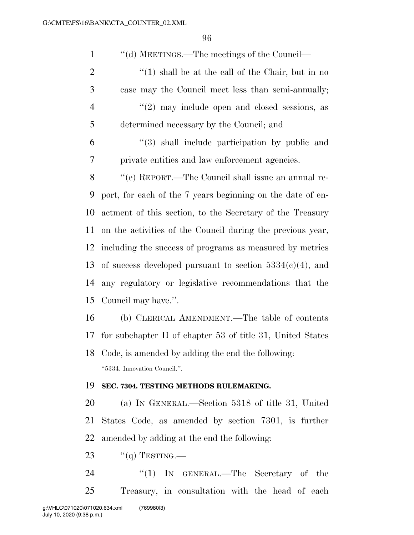| $\mathbf{1}$   | "(d) MEETINGS.—The meetings of the Council—                    |
|----------------|----------------------------------------------------------------|
| $\overline{2}$ | "(1) shall be at the call of the Chair, but in no              |
| 3              | case may the Council meet less than semi-annually;             |
| $\overline{4}$ | $\lq(2)$ may include open and closed sessions, as              |
| 5              | determined necessary by the Council; and                       |
| 6              | $\cdot\cdot\cdot(3)$ shall include participation by public and |
| 7              | private entities and law enforcement agencies.                 |
| 8              | "(e) REPORT.—The Council shall issue an annual re-             |
| 9              | port, for each of the 7 years beginning on the date of en-     |
| 10             | actment of this section, to the Secretary of the Treasury      |
| 11             | on the activities of the Council during the previous year,     |
| 12             | including the success of programs as measured by metrics       |
| 13             | of success developed pursuant to section $5334(c)(4)$ , and    |
| 14             | any regulatory or legislative recommendations that the         |
| 15             | Council may have.".                                            |
| 16             | (b) CLERICAL AMENDMENT.—The table of contents                  |
| 17             | for subchapter II of chapter 53 of title 31, United States     |
|                | 18 Code, is amended by adding the end the following:           |
|                | "5334. Innovation Council.".                                   |
| 19             | SEC. 7304. TESTING METHODS RULEMAKING.                         |
| 20             | (a) IN GENERAL.—Section 5318 of title 31, United               |
| 21             | States Code, as amended by section 7301, is further            |
| 22             | amended by adding at the end the following:                    |
| 23             | $``(q)$ TESTING.—                                              |
| 24             | IN GENERAL.—The Secretary of the<br>``(1)                      |

Treasury, in consultation with the head of each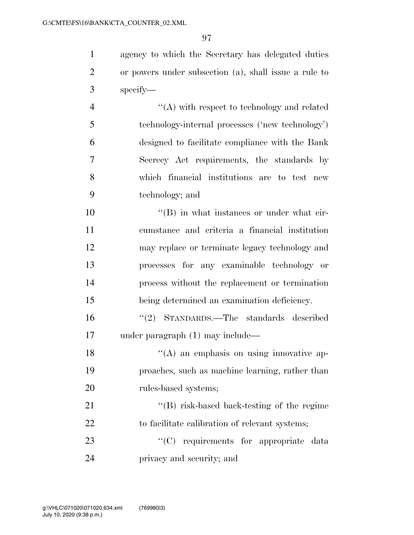agency to which the Secretary has delegated duties or powers under subsection (a), shall issue a rule to specify—

 ''(A) with respect to technology and related technology-internal processes ('new technology') designed to facilitate compliance with the Bank Secrecy Act requirements, the standards by which financial institutions are to test new technology; and

 $\langle G \rangle$  in what instances or under what cir- cumstance and criteria a financial institution may replace or terminate legacy technology and processes for any examinable technology or process without the replacement or termination being determined an examination deficiency.

 ''(2) STANDARDS.—The standards described under paragraph (1) may include—

18 ''(A) an emphasis on using innovative ap- proaches, such as machine learning, rather than rules-based systems;

21 ''(B) risk-based back-testing of the regime 22 to facilitate calibration of relevant systems;

23  $\cdot$  (C) requirements for appropriate data privacy and security; and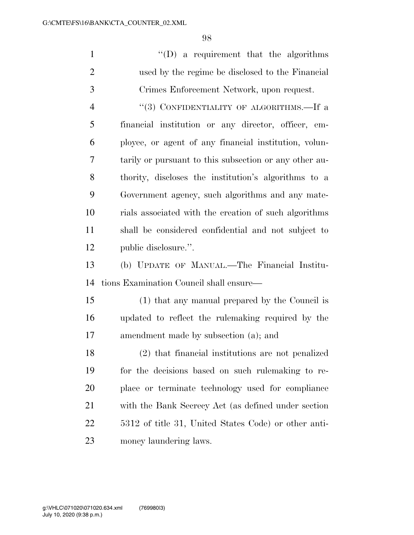1  $\langle (D)$  a requirement that the algorithms used by the regime be disclosed to the Financial Crimes Enforcement Network, upon request.

4 "(3) CONFIDENTIALITY OF ALGORITHMS.—If a financial institution or any director, officer, em- ployee, or agent of any financial institution, volun- tarily or pursuant to this subsection or any other au- thority, discloses the institution's algorithms to a Government agency, such algorithms and any mate- rials associated with the creation of such algorithms shall be considered confidential and not subject to public disclosure.''.

 (b) UPDATE OF MANUAL.—The Financial Institu-tions Examination Council shall ensure—

 (1) that any manual prepared by the Council is updated to reflect the rulemaking required by the amendment made by subsection (a); and

 (2) that financial institutions are not penalized for the decisions based on such rulemaking to re- place or terminate technology used for compliance with the Bank Secrecy Act (as defined under section 5312 of title 31, United States Code) or other anti-money laundering laws.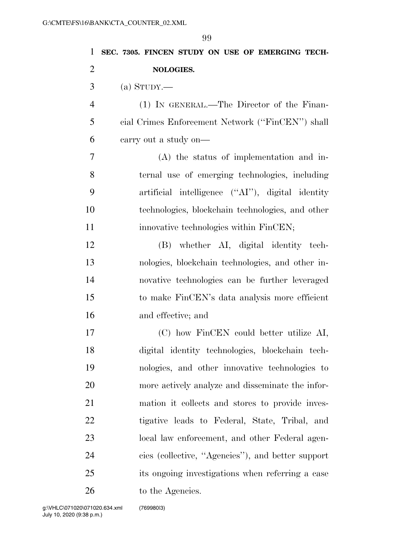| 1              | SEC. 7305. FINCEN STUDY ON USE OF EMERGING TECH-  |
|----------------|---------------------------------------------------|
| $\overline{2}$ | NOLOGIES.                                         |
| 3              | (a) STUDY.—                                       |
| $\overline{4}$ | (1) IN GENERAL.—The Director of the Finan-        |
| 5              | cial Crimes Enforcement Network ("FinCEN") shall  |
| 6              | carry out a study on—                             |
| $\overline{7}$ | $(A)$ the status of implementation and in-        |
| 8              | ternal use of emerging technologies, including    |
| 9              | artificial intelligence ("AI"), digital identity  |
| 10             | technologies, blockchain technologies, and other  |
| 11             | innovative technologies within FinCEN;            |
| 12             | (B) whether AI, digital identity tech-            |
| 13             | nologies, blockchain technologies, and other in-  |
| 14             | novative technologies can be further leveraged    |
| 15             | to make FinCEN's data analysis more efficient     |
| 16             | and effective; and                                |
| 17             | (C) how FinCEN could better utilize AI,           |
| 18             | digital identity technologies, blockchain tech-   |
| 19             | nologies, and other innovative technologies to    |
| 20             | more actively analyze and disseminate the infor-  |
| 21             | mation it collects and stores to provide inves-   |
| 22             | tigative leads to Federal, State, Tribal, and     |
| 23             | local law enforcement, and other Federal agen-    |
| 24             | cies (collective, "Agencies"), and better support |
| 25             | its ongoing investigations when referring a case  |

26 to the Agencies.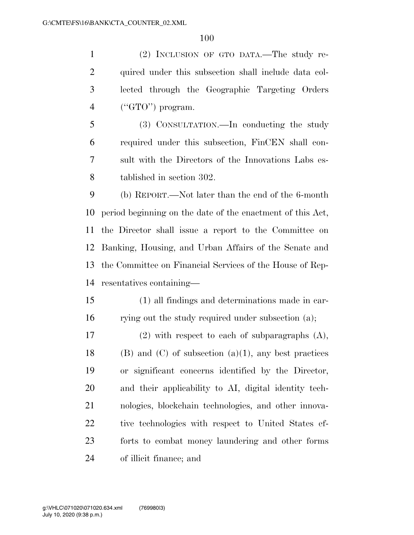(2) INCLUSION OF GTO DATA.—The study re- quired under this subsection shall include data col- lected through the Geographic Targeting Orders 4 ("GTO") program.

 (3) CONSULTATION.—In conducting the study required under this subsection, FinCEN shall con- sult with the Directors of the Innovations Labs es-tablished in section 302.

 (b) REPORT.—Not later than the end of the 6-month period beginning on the date of the enactment of this Act, the Director shall issue a report to the Committee on Banking, Housing, and Urban Affairs of the Senate and the Committee on Financial Services of the House of Rep-resentatives containing—

 (1) all findings and determinations made in car-rying out the study required under subsection (a);

 (2) with respect to each of subparagraphs (A), 18 (B) and (C) of subsection  $(a)(1)$ , any best practices or significant concerns identified by the Director, and their applicability to AI, digital identity tech- nologies, blockchain technologies, and other innova- tive technologies with respect to United States ef- forts to combat money laundering and other forms of illicit finance; and